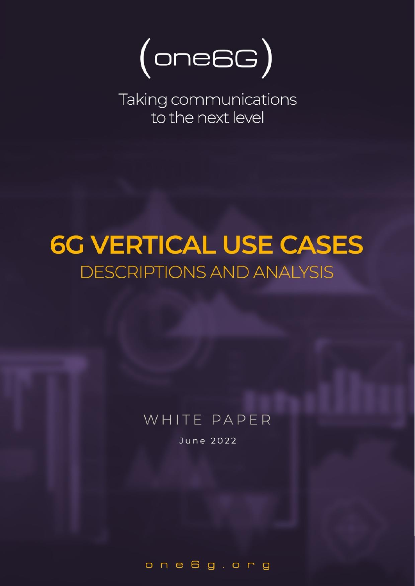

Taking communications to the next level

# **6G VERTICAL USE CASES DESCRIPTIONS AND ANALYSIS**

# WHITE PAPER

June 2022

one6g.org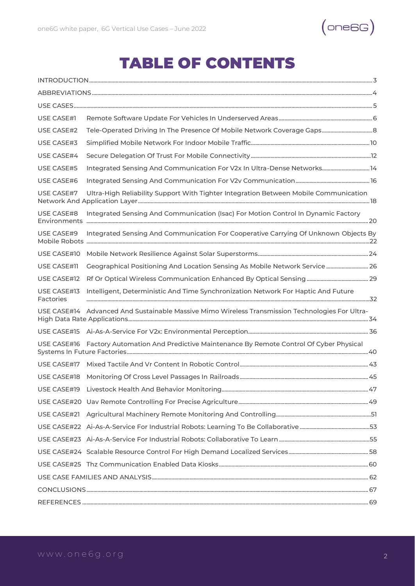

### TABLE OF CONTENTS

| USE CASE#1               |                                                                                                 |  |
|--------------------------|-------------------------------------------------------------------------------------------------|--|
| USE CASE#2               |                                                                                                 |  |
| USE CASE#3               |                                                                                                 |  |
| USE CASE#4               |                                                                                                 |  |
| USE CASE#5               | Integrated Sensing And Communication For V2x In Ultra-Dense Networks 14                         |  |
| USE CASE#6               |                                                                                                 |  |
| USE CASE#7               | Ultra-High Reliability Support With Tighter Integration Between Mobile Communication            |  |
| USE CASE#8               | Integrated Sensing And Communication (Isac) For Motion Control In Dynamic Factory               |  |
| USE CASE#9               | Integrated Sensing And Communication For Cooperative Carrying Of Unknown Objects By             |  |
| USE CASE#10              |                                                                                                 |  |
| USE CASE#11              | Geographical Positioning And Location Sensing As Mobile Network Service  26                     |  |
| USE CASE#12              |                                                                                                 |  |
| USE CASE#13<br>Factories | Intelligent, Deterministic And Time Synchronization Network For Haptic And Future               |  |
|                          | USE CASE#14 Advanced And Sustainable Massive Mimo Wireless Transmission Technologies For Ultra- |  |
|                          |                                                                                                 |  |
|                          | USE CASE#16 Factory Automation And Predictive Maintenance By Remote Control Of Cyber Physical   |  |
|                          |                                                                                                 |  |
|                          |                                                                                                 |  |
|                          |                                                                                                 |  |
|                          |                                                                                                 |  |
|                          |                                                                                                 |  |
|                          |                                                                                                 |  |
|                          |                                                                                                 |  |
|                          |                                                                                                 |  |
|                          |                                                                                                 |  |
|                          |                                                                                                 |  |
|                          |                                                                                                 |  |
|                          |                                                                                                 |  |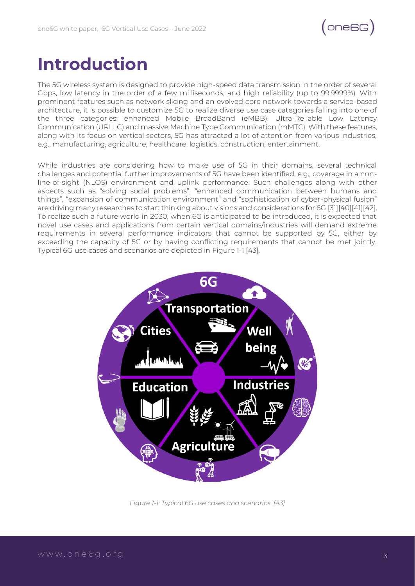

### <span id="page-2-0"></span>**Introduction**

The 5G wireless system is designed to provide high-speed data transmission in the order of several Gbps, low latency in the order of a few milliseconds, and high reliability (up to 99.9999%). With prominent features such as network slicing and an evolved core network towards a service-based architecture, it is possible to customize 5G to realize diverse use case categories falling into one of the three categories: enhanced Mobile BroadBand (eMBB), Ultra-Reliable Low Latency Communication (URLLC) and massive Machine Type Communication (mMTC). With these features, along with its focus on vertical sectors, 5G has attracted a lot of attention from various industries, e.g., manufacturing, agriculture, healthcare, logistics, construction, entertainment.

While industries are considering how to make use of 5G in their domains, several technical challenges and potential further improvements of 5G have been identified, e.g., coverage in a nonline-of-sight (NLOS) environment and uplink performance. Such challenges along with other aspects such as "solving social problems", "enhanced communication between humans and things", "expansion of communication environment" and "sophistication of cyber-physical fusion" are driving many researches to start thinking about visions and considerations for 6G [31][40][41][42]. To realize such a future world in 2030, when 6G is anticipated to be introduced, it is expected that novel use cases and applications from certain vertical domains/industries will demand extreme requirements in several performance indicators that cannot be supported by 5G, either by exceeding the capacity of 5G or by having conflicting requirements that cannot be met jointly. Typical 6G use cases and scenarios are depicted in Figure 1-1 [43].



*Figure 1-1: Typical 6G use cases and scenarios. [43]*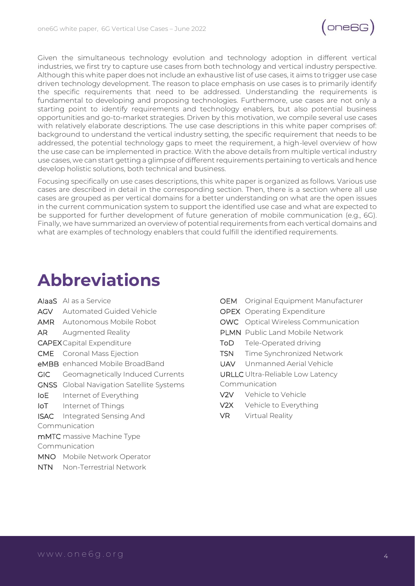

Given the simultaneous technology evolution and technology adoption in different vertical industries, we first try to capture use cases from both technology and vertical industry perspective. Although this white paper does not include an exhaustive list of use cases, it aims to trigger use case driven technology development. The reason to place emphasis on use cases is to primarily identify the specific requirements that need to be addressed. Understanding the requirements is fundamental to developing and proposing technologies. Furthermore, use cases are not only a starting point to identify requirements and technology enablers, but also potential business opportunities and go-to-market strategies. Driven by this motivation, we compile several use cases with relatively elaborate descriptions. The use case descriptions in this white paper comprises of: background to understand the vertical industry setting, the specific requirement that needs to be addressed, the potential technology gaps to meet the requirement, a high-level overview of how the use case can be implemented in practice. With the above details from multiple vertical industry use cases, we can start getting a glimpse of different requirements pertaining to verticals and hence develop holistic solutions, both technical and business.

Focusing specifically on use cases descriptions, this white paper is organized as follows. Various use cases are described in detail in the corresponding section. Then, there is a section where all use cases are grouped as per vertical domains for a better understanding on what are the open issues in the current communication system to support the identified use case and what are expected to be supported for further development of future generation of mobile communication (e.g., 6G). Finally, we have summarized an overview of potential requirements from each vertical domains and what are examples of technology enablers that could fulfill the identified requirements.

### <span id="page-3-0"></span>**Abbreviations**

- AIaaS AI as a Service
- AGV Automated Guided Vehicle
- AMR Autonomous Mobile Robot
- AR Augmented Reality
- CAPEXCapital Expenditure
- CME Coronal Mass Ejection
- eMBB enhanced Mobile BroadBand
- GIC Geomagnetically Induced Currents
- GNSS Global Navigation Satellite Systems
- IoE Internet of Everything
- IoT Internet of Things
- ISAC Integrated Sensing And Communication
- mMTC massive Machine Type

Communication

- MNO Mobile Network Operator
- NTN Non-Terrestrial Network
- OEM Original Equipment Manufacturer
- OPEX Operating Expenditure
- OWC Optical Wireless Communication
- PLMN Public Land Mobile Network
- ToD Tele-Operated driving
- TSN Time Synchronized Network
- UAV Unmanned Aerial Vehicle
- URLLC Ultra-Reliable Low Latency
- Communication
- V2V Vehicle to Vehicle
- V2X Vehicle to Everything
- VR Virtual Reality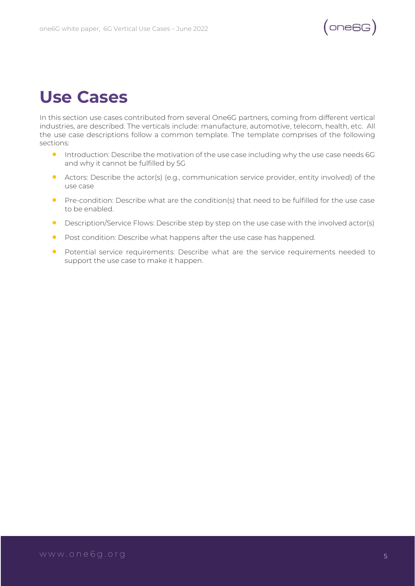

## <span id="page-4-0"></span>**Use Cases**

In this section use cases contributed from several One6G partners, coming from different vertical industries, are described. The verticals include: manufacture, automotive, telecom, health, etc. All the use case descriptions follow a common template. The template comprises of the following sections:

- Introduction: Describe the motivation of the use case including why the use case needs 6G and why it cannot be fulfilled by 5G
- Actors: Describe the actor(s) (e.g., communication service provider, entity involved) of the use case
- Pre-condition: Describe what are the condition(s) that need to be fulfilled for the use case to be enabled.
- Description/Service Flows: Describe step by step on the use case with the involved actor(s)
- Post condition: Describe what happens after the use case has happened.
- Potential service requirements: Describe what are the service requirements needed to support the use case to make it happen.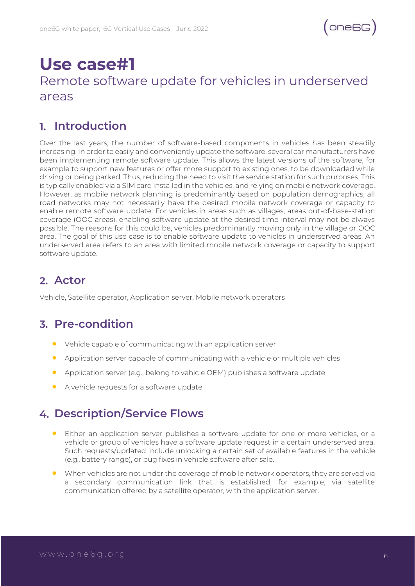### <span id="page-5-0"></span>**Use case#1** Remote software update for vehicles in underserved areas

#### **Introduction**

Over the last years, the number of software-based components in vehicles has been steadily increasing. In order to easily and conveniently update the software, several car manufacturers have been implementing remote software update. This allows the latest versions of the software, for example to support new features or offer more support to existing ones, to be downloaded while driving or being parked. Thus, reducing the need to visit the service station for such purposes. This is typically enabled via a SIM card installed in the vehicles, and relying on mobile network coverage. However, as mobile network planning is predominantly based on population demographics, all road networks may not necessarily have the desired mobile network coverage or capacity to enable remote software update. For vehicles in areas such as villages, areas out-of-base-station coverage (OOC areas), enabling software update at the desired time interval may not be always possible. The reasons for this could be, vehicles predominantly moving only in the village or OOC area. The goal of this use case is to enable software update to vehicles in underserved areas. An underserved area refers to an area with limited mobile network coverage or capacity to support software update.

#### **Actor**

Vehicle, Satellite operator, Application server, Mobile network operators

#### **Pre-condition**

- Vehicle capable of communicating with an application server
- Application server capable of communicating with a vehicle or multiple vehicles
- Application server (e.g., belong to vehicle OEM) publishes a software update
- A vehicle requests for a software update

#### **Description/Service Flows**

- Either an application server publishes a software update for one or more vehicles, or a vehicle or group of vehicles have a software update request in a certain underserved area. Such requests/updated include unlocking a certain set of available features in the vehicle (e.g., battery range), or bug fixes in vehicle software after sale.
- When vehicles are not under the coverage of mobile network operators, they are served via a secondary communication link that is established, for example, via satellite communication offered by a satellite operator, with the application server.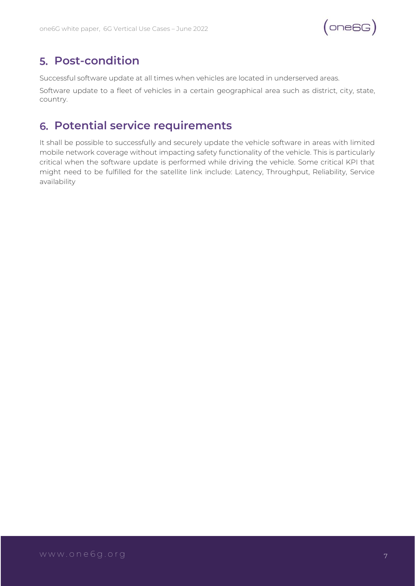

#### **Post-condition**

Successful software update at all times when vehicles are located in underserved areas.

Software update to a fleet of vehicles in a certain geographical area such as district, city, state, country.

#### **Potential service requirements**

It shall be possible to successfully and securely update the vehicle software in areas with limited mobile network coverage without impacting safety functionality of the vehicle. This is particularly critical when the software update is performed while driving the vehicle. Some critical KPI that might need to be fulfilled for the satellite link include: Latency, Throughput, Reliability, Service availability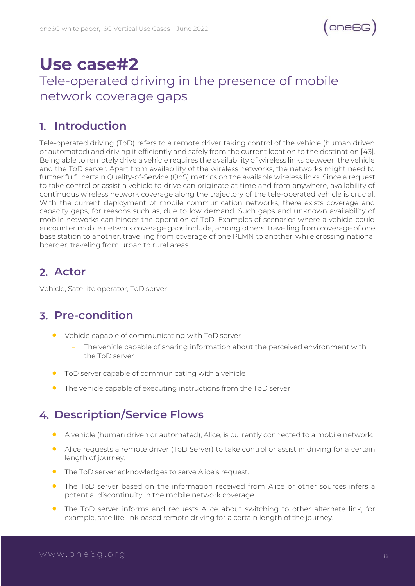

### <span id="page-7-0"></span>**Use case#2** Tele-operated driving in the presence of mobile network coverage gaps

#### **Introduction**

Tele-operated driving (ToD) refers to a remote driver taking control of the vehicle (human driven or automated) and driving it efficiently and safely from the current location to the destination [43]. Being able to remotely drive a vehicle requires the availability of wireless links between the vehicle and the ToD server. Apart from availability of the wireless networks, the networks might need to further fulfil certain Quality-of-Service (QoS) metrics on the available wireless links. Since a request to take control or assist a vehicle to drive can originate at time and from anywhere, availability of continuous wireless network coverage along the trajectory of the tele-operated vehicle is crucial. With the current deployment of mobile communication networks, there exists coverage and capacity gaps, for reasons such as, due to low demand. Such gaps and unknown availability of mobile networks can hinder the operation of ToD. Examples of scenarios where a vehicle could encounter mobile network coverage gaps include, among others, travelling from coverage of one base station to another, travelling from coverage of one PLMN to another, while crossing national boarder, traveling from urban to rural areas.

#### **Actor**

Vehicle, Satellite operator, ToD server

#### **Pre-condition**

- Vehicle capable of communicating with ToD server
	- The vehicle capable of sharing information about the perceived environment with the ToD server
- ToD server capable of communicating with a vehicle
- The vehicle capable of executing instructions from the ToD server

#### **Description/Service Flows**

- A vehicle (human driven or automated), Alice, is currently connected to a mobile network.
- Alice requests a remote driver (ToD Server) to take control or assist in driving for a certain length of journey.
- The ToD server acknowledges to serve Alice's request.
- The ToD server based on the information received from Alice or other sources infers a potential discontinuity in the mobile network coverage.
- The ToD server informs and requests Alice about switching to other alternate link, for example, satellite link based remote driving for a certain length of the journey.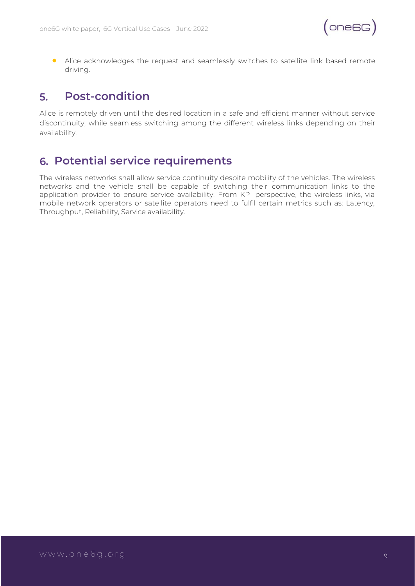• Alice acknowledges the request and seamlessly switches to satellite link based remote driving.

#### **Post-condition** 5.

Alice is remotely driven until the desired location in a safe and efficient manner without service discontinuity, while seamless switching among the different wireless links depending on their availability.

#### **Potential service requirements**

The wireless networks shall allow service continuity despite mobility of the vehicles. The wireless networks and the vehicle shall be capable of switching their communication links to the application provider to ensure service availability. From KPI perspective, the wireless links, via mobile network operators or satellite operators need to fulfil certain metrics such as: Latency, Throughput, Reliability, Service availability.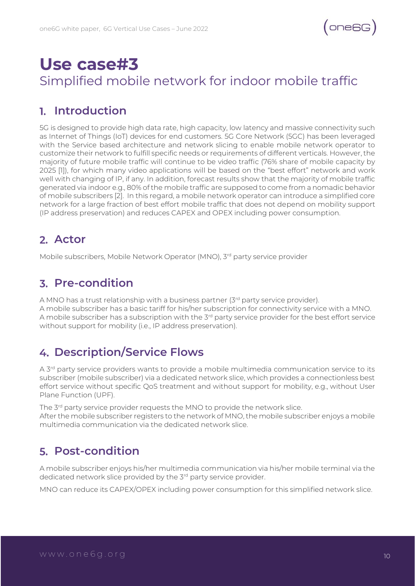### <span id="page-9-0"></span>**Use case#3** Simplified mobile network for indoor mobile traffic

#### **Introduction**

5G is designed to provide high data rate, high capacity, low latency and massive connectivity such as Internet of Things (IoT) devices for end customers. 5G Core Network (5GC) has been leveraged with the Service based architecture and network slicing to enable mobile network operator to customize their network to fulfill specific needs or requirements of different verticals. However, the majority of future mobile traffic will continue to be video traffic (76% share of mobile capacity by 2025 [1]), for which many video applications will be based on the "best effort" network and work well with changing of IP, if any. In addition, forecast results show that the majority of mobile traffic generated via indoor e.g., 80% of the mobile traffic are supposed to come from a nomadic behavior of mobile subscribers [2]. In this regard, a mobile network operator can introduce a simplified core network for a large fraction of best effort mobile traffic that does not depend on mobility support (IP address preservation) and reduces CAPEX and OPEX including power consumption.

#### **Actor**

Mobile subscribers, Mobile Network Operator (MNO), 3<sup>rd</sup> party service provider

#### **Pre-condition**

A MNO has a trust relationship with a business partner  $(3<sup>rd</sup>$  party service provider). A mobile subscriber has a basic tariff for his/her subscription for connectivity service with a MNO. A mobile subscriber has a subscription with the  $3<sup>rd</sup>$  party service provider for the best effort service without support for mobility (i.e., IP address preservation).

#### **Description/Service Flows**

A 3<sup>rd</sup> party service providers wants to provide a mobile multimedia communication service to its subscriber (mobile subscriber) via a dedicated network slice, which provides a connectionless best effort service without specific QoS treatment and without support for mobility, e.g., without User Plane Function (UPF).

The 3<sup>rd</sup> party service provider requests the MNO to provide the network slice. After the mobile subscriber registers to the network of MNO, the mobile subscriber enjoys a mobile multimedia communication via the dedicated network slice.

#### **Post-condition**

A mobile subscriber enjoys his/her multimedia communication via his/her mobile terminal via the dedicated network slice provided by the 3<sup>rd</sup> party service provider.

MNO can reduce its CAPEX/OPEX including power consumption for this simplified network slice.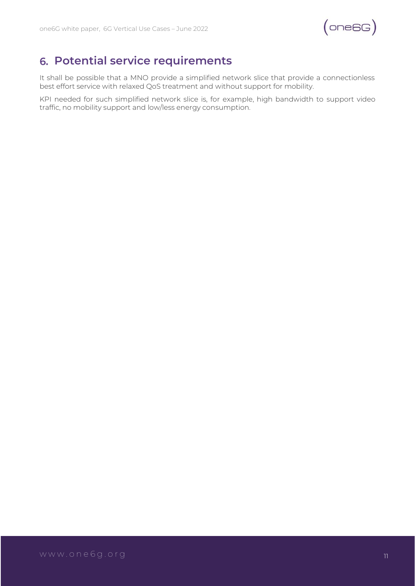

#### **Potential service requirements**

It shall be possible that a MNO provide a simplified network slice that provide a connectionless best effort service with relaxed QoS treatment and without support for mobility.

KPI needed for such simplified network slice is, for example, high bandwidth to support video traffic, no mobility support and low/less energy consumption.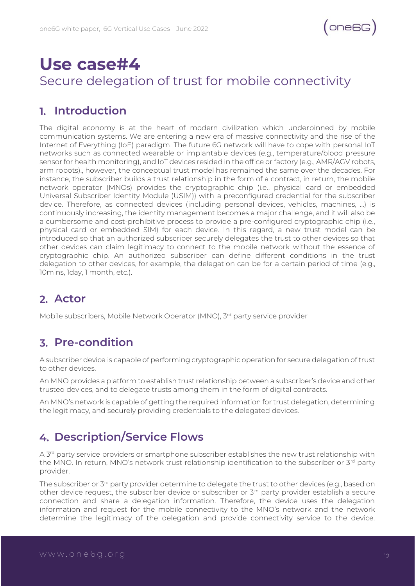

### <span id="page-11-0"></span>**Use case#4** Secure delegation of trust for mobile connectivity

#### **Introduction**

The digital economy is at the heart of modern civilization which underpinned by mobile communication systems. We are entering a new era of massive connectivity and the rise of the Internet of Everything (IoE) paradigm. The future 6G network will have to cope with personal IoT networks such as connected wearable or implantable devices (e.g., temperature/blood pressure sensor for health monitoring), and IoT devices resided in the office or factory (e.g., AMR/AGV robots, arm robots)., however, the conceptual trust model has remained the same over the decades. For instance, the subscriber builds a trust relationship in the form of a contract, in return, the mobile network operator (MNOs) provides the cryptographic chip (i.e., physical card or embedded Universal Subscriber Identity Module (USIM)) with a preconfigured credential for the subscriber device. Therefore, as connected devices (including personal devices, vehicles, machines, …) is continuously increasing, the identity management becomes a major challenge, and it will also be a cumbersome and cost-prohibitive process to provide a pre-configured cryptographic chip (i.e., physical card or embedded SIM) for each device. In this regard, a new trust model can be introduced so that an authorized subscriber securely delegates the trust to other devices so that other devices can claim legitimacy to connect to the mobile network without the essence of cryptographic chip. An authorized subscriber can define different conditions in the trust delegation to other devices, for example, the delegation can be for a certain period of time (e.g., 10mins, 1day, 1 month, etc.).

#### **Actor**

Mobile subscribers, Mobile Network Operator (MNO), 3<sup>rd</sup> party service provider

#### **Pre-condition**

A subscriber device is capable of performing cryptographic operation for secure delegation of trust to other devices.

An MNO provides a platform to establish trust relationship between a subscriber's device and other trusted devices, and to delegate trusts among them in the form of digital contracts.

An MNO's network is capable of getting the required information for trust delegation, determining the legitimacy, and securely providing credentials to the delegated devices.

#### **Description/Service Flows**

A 3<sup>rd</sup> party service providers or smartphone subscriber establishes the new trust relationship with the MNO. In return, MNO's network trust relationship identification to the subscriber or 3<sup>rd</sup> party provider.

The subscriber or 3<sup>rd</sup> party provider determine to delegate the trust to other devices (e.g., based on other device request, the subscriber device or subscriber or 3rd party provider establish a secure connection and share a delegation information. Therefore, the device uses the delegation information and request for the mobile connectivity to the MNO's network and the network determine the legitimacy of the delegation and provide connectivity service to the device.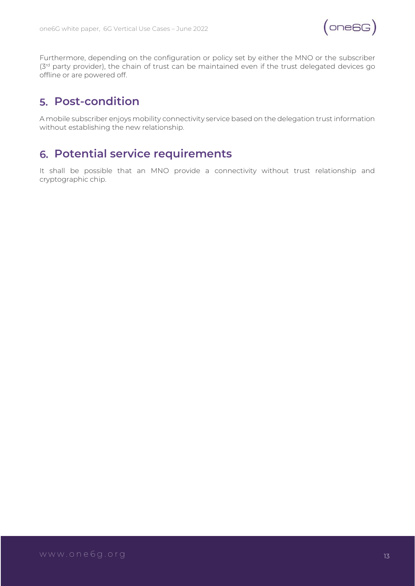

Furthermore, depending on the configuration or policy set by either the MNO or the subscriber (3<sup>rd</sup> party provider), the chain of trust can be maintained even if the trust delegated devices go offline or are powered off.

#### **Post-condition**

A mobile subscriber enjoys mobility connectivity service based on the delegation trust information without establishing the new relationship.

#### **Potential service requirements**

It shall be possible that an MNO provide a connectivity without trust relationship and cryptographic chip.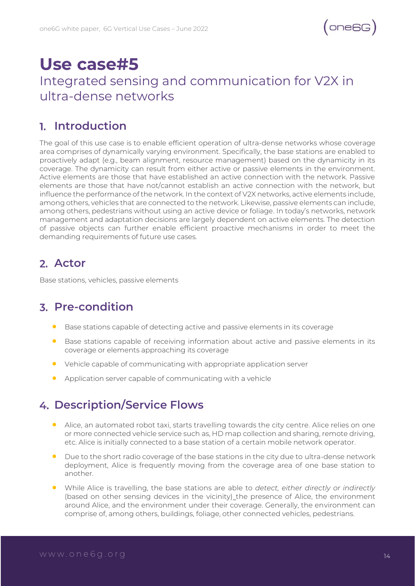### <span id="page-13-0"></span>**Use case#5** Integrated sensing and communication for V2X in ultra-dense networks

#### **Introduction**

The goal of this use case is to enable efficient operation of ultra-dense networks whose coverage area comprises of dynamically varying environment. Specifically, the base stations are enabled to proactively adapt (e.g., beam alignment, resource management) based on the dynamicity in its coverage. The dynamicity can result from either active or passive elements in the environment. Active elements are those that have established an active connection with the network. Passive elements are those that have not/cannot establish an active connection with the network, but influence the performance of the network. In the context of V2X networks, active elements include, among others, vehicles that are connected to the network. Likewise, passive elements can include, among others, pedestrians without using an active device or foliage. In today's networks, network management and adaptation decisions are largely dependent on active elements. The detection of passive objects can further enable efficient proactive mechanisms in order to meet the demanding requirements of future use cases.

#### **Actor**

Base stations, vehicles, passive elements

#### **Pre-condition**

- Base stations capable of detecting active and passive elements in its coverage
- Base stations capable of receiving information about active and passive elements in its coverage or elements approaching its coverage
- Vehicle capable of communicating with appropriate application server
- Application server capable of communicating with a vehicle

#### **Description/Service Flows**

- Alice, an automated robot taxi, starts travelling towards the city centre. Alice relies on one or more connected vehicle service such as, HD map collection and sharing, remote driving, etc. Alice is initially connected to a base station of a certain mobile network operator.
- Due to the short radio coverage of the base stations in the city due to ultra-dense network deployment, Alice is frequently moving from the coverage area of one base station to another.
- While Alice is travelling, the base stations are able to *detect, either directly or indirectly* (based on other sensing devices in the vicinity) the presence of Alice, the environment around Alice, and the environment under their coverage. Generally, the environment can comprise of, among others, buildings, foliage, other connected vehicles, pedestrians.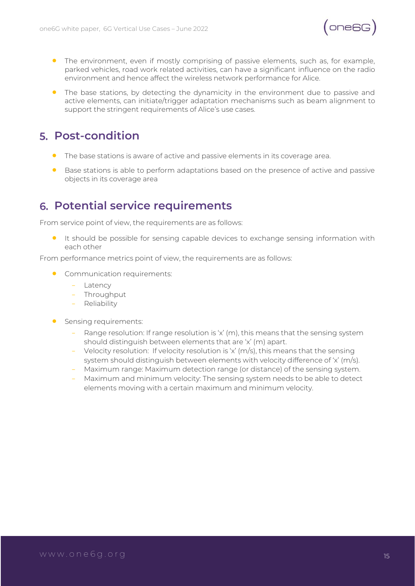

- The environment, even if mostly comprising of passive elements, such as, for example, parked vehicles, road work related activities, can have a significant influence on the radio environment and hence affect the wireless network performance for Alice.
- The base stations, by detecting the dynamicity in the environment due to passive and active elements, can initiate/trigger adaptation mechanisms such as beam alignment to support the stringent requirements of Alice's use cases.

#### **Post-condition**

- The base stations is aware of active and passive elements in its coverage area.
- Base stations is able to perform adaptations based on the presence of active and passive objects in its coverage area

#### **Potential service requirements**

From service point of view, the requirements are as follows:

• It should be possible for sensing capable devices to exchange sensing information with each other

From performance metrics point of view, the requirements are as follows:

- **•** Communication requirements:
	- Latency
	- Throughput
	- Reliability
- **•** Sensing requirements:
	- Range resolution: If range resolution is 'x' (m), this means that the sensing system should distinguish between elements that are 'x' (m) apart.
	- Velocity resolution: If velocity resolution is 'x' (m/s), this means that the sensing system should distinguish between elements with velocity difference of 'x' (m/s).
	- Maximum range: Maximum detection range (or distance) of the sensing system.
	- Maximum and minimum velocity: The sensing system needs to be able to detect elements moving with a certain maximum and minimum velocity.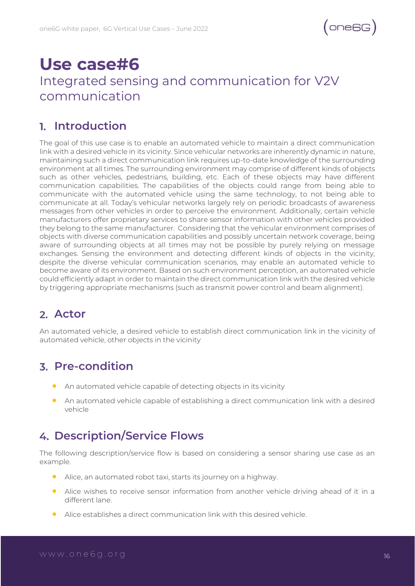### <span id="page-15-0"></span>**Use case#6** Integrated sensing and communication for V2V communication

#### **Introduction**

The goal of this use case is to enable an automated vehicle to maintain a direct communication link with a desired vehicle in its vicinity. Since vehicular networks are inherently dynamic in nature, maintaining such a direct communication link requires up-to-date knowledge of the surrounding environment at all times. The surrounding environment may comprise of different kinds of objects such as other vehicles, pedestrians, building, etc. Each of these objects may have different communication capabilities. The capabilities of the objects could range from being able to communicate with the automated vehicle using the same technology, to not being able to communicate at all. Today's vehicular networks largely rely on periodic broadcasts of awareness messages from other vehicles in order to perceive the environment. Additionally, certain vehicle manufacturers offer proprietary services to share sensor information with other vehicles provided they belong to the same manufacturer. Considering that the vehicular environment comprises of objects with diverse communication capabilities and possibly uncertain network coverage, being aware of surrounding objects at all times may not be possible by purely relying on message exchanges. Sensing the environment and detecting different kinds of objects in the vicinity, despite the diverse vehicular communication scenarios, may enable an automated vehicle to become aware of its environment. Based on such environment perception, an automated vehicle could efficiently adapt in order to maintain the direct communication link with the desired vehicle by triggering appropriate mechanisms (such as transmit power control and beam alignment).

#### **Actor**

An automated vehicle, a desired vehicle to establish direct communication link in the vicinity of automated vehicle, other objects in the vicinity

#### **Pre-condition**

- An automated vehicle capable of detecting objects in its vicinity
- An automated vehicle capable of establishing a direct communication link with a desired vehicle

#### **Description/Service Flows**

The following description/service flow is based on considering a sensor sharing use case as an example.

- Alice, an automated robot taxi, starts its journey on a highway.
- Alice wishes to receive sensor information from another vehicle driving ahead of it in a different lane.
- Alice establishes a direct communication link with this desired vehicle.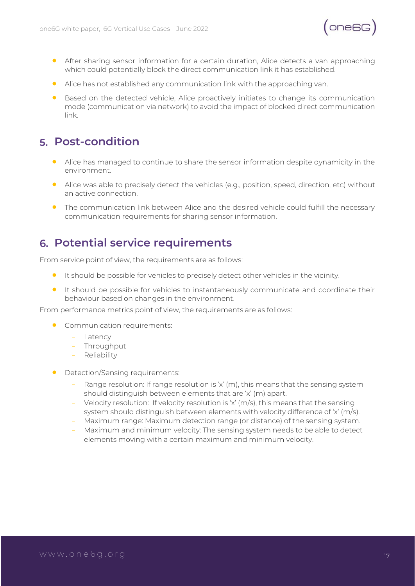

- After sharing sensor information for a certain duration, Alice detects a van approaching which could potentially block the direct communication link it has established.
- Alice has not established any communication link with the approaching van.
- Based on the detected vehicle, Alice proactively initiates to change its communication mode (communication via network) to avoid the impact of blocked direct communication link.

#### **Post-condition**

- Alice has managed to continue to share the sensor information despite dynamicity in the environment.
- Alice was able to precisely detect the vehicles (e.g., position, speed, direction, etc) without an active connection.
- The communication link between Alice and the desired vehicle could fulfill the necessary communication requirements for sharing sensor information.

#### **Potential service requirements**

From service point of view, the requirements are as follows:

- It should be possible for vehicles to precisely detect other vehicles in the vicinity.
- It should be possible for vehicles to instantaneously communicate and coordinate their behaviour based on changes in the environment.

From performance metrics point of view, the requirements are as follows:

- Communication requirements:
	- Latency
	- Throughput
	- Reliability
- Detection/Sensing requirements:
	- Range resolution: If range resolution is 'x' (m), this means that the sensing system should distinguish between elements that are 'x' (m) apart.
	- Velocity resolution: If velocity resolution is 'x' (m/s), this means that the sensing system should distinguish between elements with velocity difference of 'x' (m/s).
	- Maximum range: Maximum detection range (or distance) of the sensing system.
	- Maximum and minimum velocity: The sensing system needs to be able to detect elements moving with a certain maximum and minimum velocity.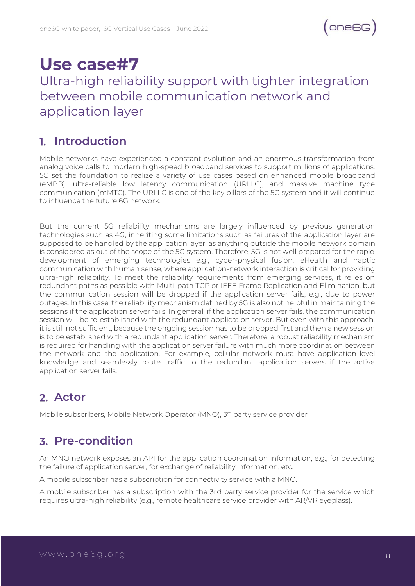### **Use case#7**

### <span id="page-17-0"></span>Ultra-high reliability support with tighter integration between mobile communication network and application layer

#### **Introduction**

Mobile networks have experienced a constant evolution and an enormous transformation from analog voice calls to modern high-speed broadband services to support millions of applications. 5G set the foundation to realize a variety of use cases based on enhanced mobile broadband (eMBB), ultra-reliable low latency communication (URLLC), and massive machine type communication (mMTC). The URLLC is one of the key pillars of the 5G system and it will continue to influence the future 6G network.

But the current 5G reliability mechanisms are largely influenced by previous generation technologies such as 4G, inheriting some limitations such as failures of the application layer are supposed to be handled by the application layer, as anything outside the mobile network domain is considered as out of the scope of the 5G system. Therefore, 5G is not well prepared for the rapid development of emerging technologies e.g., cyber-physical fusion, eHealth and haptic communication with human sense, where application-network interaction is critical for providing ultra-high reliability. To meet the reliability requirements from emerging services, it relies on redundant paths as possible with Multi-path TCP or IEEE Frame Replication and Elimination, but the communication session will be dropped if the application server fails, e.g., due to power outages. In this case, the reliability mechanism defined by 5G is also not helpful in maintaining the sessions if the application server fails. In general, if the application server fails, the communication session will be re-established with the redundant application server. But even with this approach, it is still not sufficient, because the ongoing session has to be dropped first and then a new session is to be established with a redundant application server. Therefore, a robust reliability mechanism is required for handling with the application server failure with much more coordination between the network and the application. For example, cellular network must have application-level knowledge and seamlessly route traffic to the redundant application servers if the active application server fails.

#### **Actor**

Mobile subscribers, Mobile Network Operator (MNO), 3<sup>rd</sup> party service provider

#### **Pre-condition**

An MNO network exposes an API for the application coordination information, e.g., for detecting the failure of application server, for exchange of reliability information, etc.

A mobile subscriber has a subscription for connectivity service with a MNO.

A mobile subscriber has a subscription with the 3rd party service provider for the service which requires ultra-high reliability (e.g., remote healthcare service provider with AR/VR eyeglass).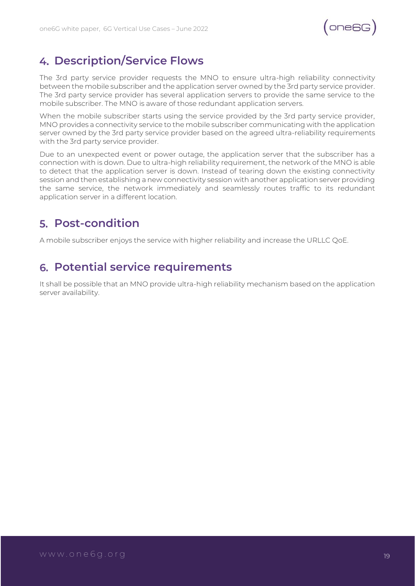$(ones)$ 

#### **Description/Service Flows**

The 3rd party service provider requests the MNO to ensure ultra-high reliability connectivity between the mobile subscriber and the application server owned by the 3rd party service provider. The 3rd party service provider has several application servers to provide the same service to the mobile subscriber. The MNO is aware of those redundant application servers.

When the mobile subscriber starts using the service provided by the 3rd party service provider, MNO provides a connectivity service to the mobile subscriber communicating with the application server owned by the 3rd party service provider based on the agreed ultra-reliability requirements with the 3rd party service provider.

Due to an unexpected event or power outage, the application server that the subscriber has a connection with is down. Due to ultra-high reliability requirement, the network of the MNO is able to detect that the application server is down. Instead of tearing down the existing connectivity session and then establishing a new connectivity session with another application server providing the same service, the network immediately and seamlessly routes traffic to its redundant application server in a different location.

#### **Post-condition**

A mobile subscriber enjoys the service with higher reliability and increase the URLLC QoE.

#### **Potential service requirements**

It shall be possible that an MNO provide ultra-high reliability mechanism based on the application server availability.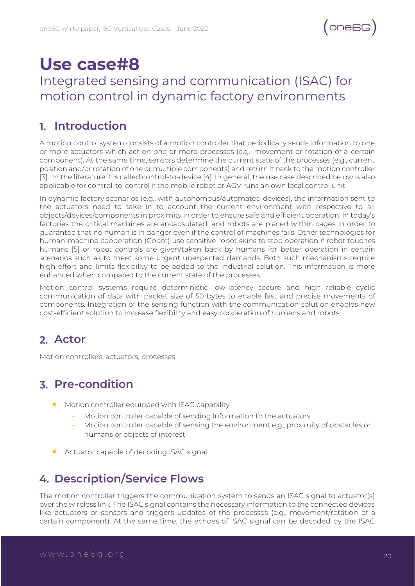### **Use case#8**

#### <span id="page-19-0"></span>Integrated sensing and communication (ISAC) for motion control in dynamic factory environments

#### **Introduction**

A motion control system consists of a motion controller that periodically sends information to one or more actuators which act on one or more processes (e.g., movement or rotation of a certain component). At the same time, sensors determine the current state of the processes (e.g., current position and/or rotation of one or multiple components) and return it back to the motion controller [3]. In the literature it is called control-to-device [4]. In general, the use case described below is also applicable for control-to-control if the mobile robot or AGV runs an own local control unit.

In dynamic factory scenarios (e.g., with autonomous/automated devices), the information sent to the actuators need to take in to account the current environment with respective to all objects/devices/components in proximity in order to ensure safe and efficient operation. In today's factories the critical machines are encapsulated, and robots are placed within cages in order to guarantee that no human is in danger even if the control of machines fails. Other technologies for human-machine cooperation (Cobot) use sensitive robot skins to stop operation if robot touches humans [5] or robot controls are given/taken back by humans for better operation in certain scenarios such as to meet some urgent unexpected demands. Both such mechanisms require high effort and limits flexibility to be added to the industrial solution. This information is more enhanced when compared to the current state of the processes.

Motion control systems require deterministic low-latency secure and high reliable cyclic communication of data with packet size of 50 bytes to enable fast and precise movements of components. Integration of the sensing function with the communication solution enables new cost-efficient solution to increase flexibility and easy cooperation of humans and robots.

#### **Actor**

Motion controllers, actuators, processes

#### **Pre-condition**

- Motion controller equipped with ISAC capability
	- Motion controller capable of sending information to the actuators
	- Motion controller capable of sensing the environment e.g., proximity of obstacles or humans or objects of interest
- **•** Actuator capable of decoding ISAC signal

#### **Description/Service Flows**

The motion controller triggers the communication system to sends an ISAC signal to actuator(s) over the wireless link. The ISAC signal contains the necessary information to the connected devices like actuators or sensors and triggers updates of the processes (e.g., movement/rotation of a certain component). At the same time, the echoes of ISAC signal can be decoded by the ISAC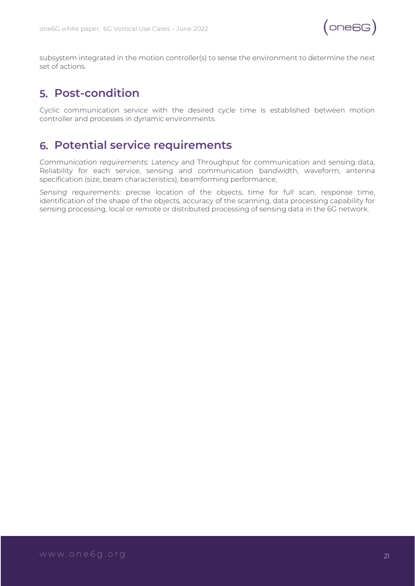

subsystem integrated in the motion controller(s) to sense the environment to determine the next set of actions.

#### **Post-condition**

Cyclic communication service with the desired cycle time is established between motion controller and processes in dynamic environments.

#### **Potential service requirements**

*Communication requirements:* Latency and Throughput for communication and sensing data, Reliability for each service, sensing and communication bandwidth, waveform, antenna specification (size, beam characteristics), beamforming performance,

*Sensing requirements:* precise location of the objects, time for full scan, response time, identification of the shape of the objects, accuracy of the scanning, data processing capability for sensing processing, local or remote or distributed processing of sensing data in the 6G network.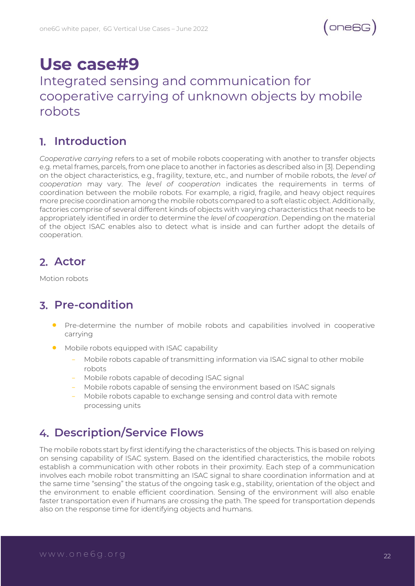### **Use case#9**

#### <span id="page-21-0"></span>Integrated sensing and communication for cooperative carrying of unknown objects by mobile robots

#### **Introduction**

*Cooperative carrying* refers to a set of mobile robots cooperating with another to transfer objects e.g. metal frames, parcels, from one place to another in factories as described also in [3]. Depending on the object characteristics, e.g., fragility, texture, etc., and number of mobile robots, the *level of cooperation* may vary. The *level of cooperation* indicates the requirements in terms of coordination between the mobile robots. For example, a rigid, fragile, and heavy object requires more precise coordination among the mobile robots compared to a soft elastic object. Additionally, factories comprise of several different kinds of objects with varying characteristics that needs to be appropriately identified in order to determine the *level of cooperation*. Depending on the material of the object ISAC enables also to detect what is inside and can further adopt the details of cooperation.

#### **Actor**

Motion robots

#### **Pre-condition**

- Pre-determine the number of mobile robots and capabilities involved in cooperative carrying
- Mobile robots equipped with ISAC capability
	- Mobile robots capable of transmitting information via ISAC signal to other mobile robots
	- Mobile robots capable of decoding ISAC signal
	- Mobile robots capable of sensing the environment based on ISAC signals
	- Mobile robots capable to exchange sensing and control data with remote processing units

#### **Description/Service Flows**

The mobile robots start by first identifying the characteristics of the objects. This is based on relying on sensing capability of ISAC system. Based on the identified characteristics, the mobile robots establish a communication with other robots in their proximity. Each step of a communication involves each mobile robot transmitting an ISAC signal to share coordination information and at the same time "sensing" the status of the ongoing task e.g., stability, orientation of the object and the environment to enable efficient coordination. Sensing of the environment will also enable faster transportation even if humans are crossing the path. The speed for transportation depends also on the response time for identifying objects and humans.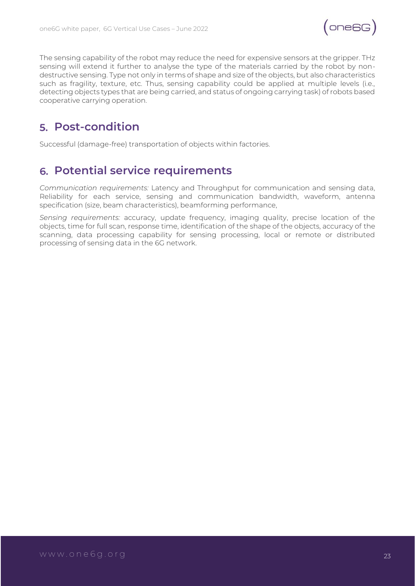

The sensing capability of the robot may reduce the need for expensive sensors at the gripper. THz sensing will extend it further to analyse the type of the materials carried by the robot by nondestructive sensing. Type not only in terms of shape and size of the objects, but also characteristics such as fragility, texture, etc. Thus, sensing capability could be applied at multiple levels (i.e., detecting objects types that are being carried, and status of ongoing carrying task) of robots based cooperative carrying operation.

#### **Post-condition**

Successful (damage-free) transportation of objects within factories.

#### **Potential service requirements**

*Communication requirements:* Latency and Throughput for communication and sensing data, Reliability for each service, sensing and communication bandwidth, waveform, antenna specification (size, beam characteristics), beamforming performance,

*Sensing requirements:* accuracy, update frequency, imaging quality, precise location of the objects, time for full scan, response time, identification of the shape of the objects, accuracy of the scanning, data processing capability for sensing processing, local or remote or distributed processing of sensing data in the 6G network.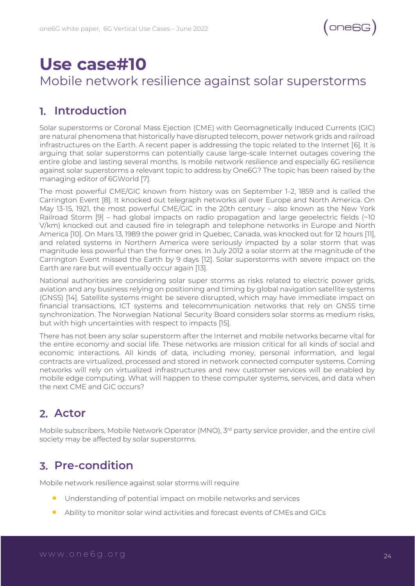### <span id="page-23-0"></span>**Use case#10** Mobile network resilience against solar superstorms

#### **Introduction**

Solar superstorms or Coronal Mass Ejection (CME) with Geomagnetically Induced Currents (GIC) are natural phenomena that historically have disrupted telecom, power network grids and railroad infrastructures on the Earth. A recent paper is addressing the topic related to the Internet [6]. It is arguing that solar superstorms can potentially cause large-scale Internet outages covering the entire globe and lasting several months. Is mobile network resilience and especially 6G resilience against solar superstorms a relevant topic to address by One6G? The topic has been raised by the managing editor of 6GWorld [7].

The most powerful CME/GIC known from history was on September 1-2, 1859 and is called the Carrington Event [8]. It knocked out telegraph networks all over Europe and North America. On May 13-15, 1921, the most powerful CME/GIC in the 20th century – also known as the New York Railroad Storm [9] – had global impacts on radio propagation and large geoelectric fields (~10 V/km) knocked out and caused fire in telegraph and telephone networks in Europe and North America [10]. On Mars 13, 1989 the power grid in Quebec, Canada, was knocked out for 12 hours [11], and related systems in Northern America were seriously impacted by a solar storm that was magnitude less powerful than the former ones. In July 2012 a solar storm at the magnitude of the Carrington Event missed the Earth by 9 days [12]. Solar superstorms with severe impact on the Earth are rare but will eventually occur again [13].

National authorities are considering solar super storms as risks related to electric power grids, aviation and any business relying on positioning and timing by global navigation satellite systems (GNSS) [14]. Satellite systems might be severe disrupted, which may have immediate impact on financial transactions, ICT systems and telecommunication networks that rely on GNSS time synchronization. The Norwegian National Security Board considers solar storms as medium risks, but with high uncertainties with respect to impacts [15].

There has not been any solar superstorm after the Internet and mobile networks became vital for the entire economy and social life. These networks are mission critical for all kinds of social and economic interactions. All kinds of data, including money, personal information, and legal contracts are virtualized, processed and stored in network connected computer systems. Coming networks will rely on virtualized infrastructures and new customer services will be enabled by mobile edge computing. What will happen to these computer systems, services, and data when the next CME and GIC occurs?

#### **Actor**

Mobile subscribers, Mobile Network Operator (MNO), 3<sup>rd</sup> party service provider, and the entire civil society may be affected by solar superstorms.

#### **Pre-condition**

Mobile network resilience against solar storms will require

- Understanding of potential impact on mobile networks and services
- Ability to monitor solar wind activities and forecast events of CMEs and GICs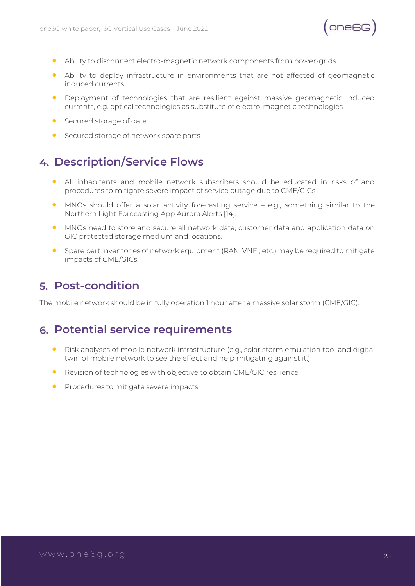

- Ability to disconnect electro-magnetic network components from power-grids
- Ability to deploy infrastructure in environments that are not affected of geomagnetic induced currents
- Deployment of technologies that are resilient against massive geomagnetic induced currents, e.g. optical technologies as substitute of electro-magnetic technologies
- Secured storage of data
- **•** Secured storage of network spare parts

#### **Description/Service Flows**

- All inhabitants and mobile network subscribers should be educated in risks of and procedures to mitigate severe impact of service outage due to CME/GICs
- MNOs should offer a solar activity forecasting service e.g., something similar to the Northern Light Forecasting App Aurora Alerts [14].
- MNOs need to store and secure all network data, customer data and application data on GIC protected storage medium and locations.
- Spare part inventories of network equipment (RAN, VNFI, etc.) may be required to mitigate impacts of CME/GICs.

#### **Post-condition**

The mobile network should be in fully operation 1 hour after a massive solar storm (CME/GIC).

#### **Potential service requirements**

- Risk analyses of mobile network infrastructure (e.g., solar storm emulation tool and digital twin of mobile network to see the effect and help mitigating against it.)
- Revision of technologies with objective to obtain CME/GIC resilience
- Procedures to mitigate severe impacts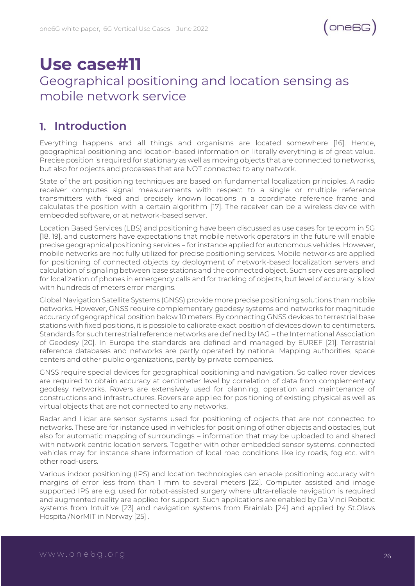### <span id="page-25-0"></span>**Use case#11** Geographical positioning and location sensing as mobile network service

#### **Introduction**

Everything happens and all things and organisms are located somewhere [16]. Hence, geographical positioning and location-based information on literally everything is of great value. Precise position is required for stationary as well as moving objects that are connected to networks, but also for objects and processes that are NOT connected to any network.

State of the art positioning techniques are based on fundamental localization principles. A radio receiver computes signal measurements with respect to a single or multiple reference transmitters with fixed and precisely known locations in a coordinate reference frame and calculates the position with a certain algorithm [17]. The receiver can be a wireless device with embedded software, or at network-based server.

Location Based Services (LBS) and positioning have been discussed as use cases for telecom in 5G [18, 19], and customers have expectations that mobile network operators in the future will enable precise geographical positioning services – for instance applied for autonomous vehicles. However, mobile networks are not fully utilized for precise positioning services. Mobile networks are applied for positioning of connected objects by deployment of network-based localization servers and calculation of signaling between base stations and the connected object. Such services are applied for localization of phones in emergency calls and for tracking of objects, but level of accuracy is low with hundreds of meters error margins.

Global Navigation Satellite Systems (GNSS) provide more precise positioning solutions than mobile networks. However, GNSS require complementary geodesy systems and networks for magnitude accuracy of geographical position below 10 meters. By connecting GNSS devices to terrestrial base stations with fixed positions, it is possible to calibrate exact position of devices down to centimeters. Standards for such terrestrial reference networks are defined by IAG – the International Association of Geodesy [20]. In Europe the standards are defined and managed by EUREF [21]. Terrestrial reference databases and networks are partly operated by national Mapping authorities, space centers and other public organizations, partly by private companies.

GNSS require special devices for geographical positioning and navigation. So called rover devices are required to obtain accuracy at centimeter level by correlation of data from complementary geodesy networks. Rovers are extensively used for planning, operation and maintenance of constructions and infrastructures. Rovers are applied for positioning of existing physical as well as virtual objects that are not connected to any networks.

Radar and Lidar are sensor systems used for positioning of objects that are not connected to networks. These are for instance used in vehicles for positioning of other objects and obstacles, but also for automatic mapping of surroundings – information that may be uploaded to and shared with network centric location servers. Together with other embedded sensor systems, connected vehicles may for instance share information of local road conditions like icy roads, fog etc. with other road-users.

Various indoor positioning (IPS) and location technologies can enable positioning accuracy with margins of error less from than 1 mm to several meters [22]. Computer assisted and image supported IPS are e.g. used for robot-assisted surgery where ultra-reliable navigation is required and augmented reality are applied for support. Such applications are enabled by Da Vinci Robotic systems from Intuitive [23] and navigation systems from Brainlab [24] and applied by St.Olavs Hospital/NorMIT in Norway [25] .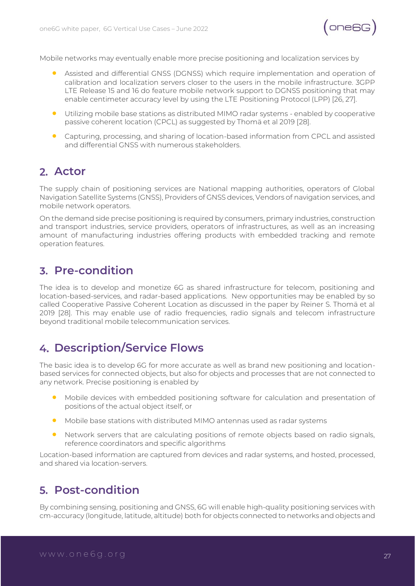

Mobile networks may eventually enable more precise positioning and localization services by

- Assisted and differential GNSS (DGNSS) which require implementation and operation of calibration and localization servers closer to the users in the mobile infrastructure. 3GPP LTE Release 15 and 16 do feature mobile network support to DGNSS positioning that may enable centimeter accuracy level by using the LTE Positioning Protocol (LPP) [26, 27].
- Utilizing mobile base stations as distributed MIMO radar systems enabled by cooperative passive coherent location (CPCL) as suggested by Thomä et al 2019 [28].
- Capturing, processing, and sharing of location-based information from CPCL and assisted and differential GNSS with numerous stakeholders.

#### **Actor**

The supply chain of positioning services are National mapping authorities, operators of Global Navigation Satellite Systems (GNSS), Providers of GNSS devices, Vendors of navigation services, and mobile network operators.

On the demand side precise positioning is required by consumers, primary industries, construction and transport industries, service providers, operators of infrastructures, as well as an increasing amount of manufacturing industries offering products with embedded tracking and remote operation features.

#### **Pre-condition**

The idea is to develop and monetize 6G as shared infrastructure for telecom, positioning and location-based-services, and radar-based applications. New opportunities may be enabled by so called Cooperative Passive Coherent Location as discussed in the paper by Reiner S. Thomä et al 2019 [28]. This may enable use of radio frequencies, radio signals and telecom infrastructure beyond traditional mobile telecommunication services.

#### **Description/Service Flows**

The basic idea is to develop 6G for more accurate as well as brand new positioning and locationbased services for connected objects, but also for objects and processes that are not connected to any network. Precise positioning is enabled by

- Mobile devices with embedded positioning software for calculation and presentation of positions of the actual object itself, or
- Mobile base stations with distributed MIMO antennas used as radar systems
- Network servers that are calculating positions of remote objects based on radio signals, reference coordinators and specific algorithms

Location-based information are captured from devices and radar systems, and hosted, processed, and shared via location-servers.

#### **Post-condition**

By combining sensing, positioning and GNSS, 6G will enable high-quality positioning services with cm-accuracy (longitude, latitude, altitude) both for objects connected to networks and objects and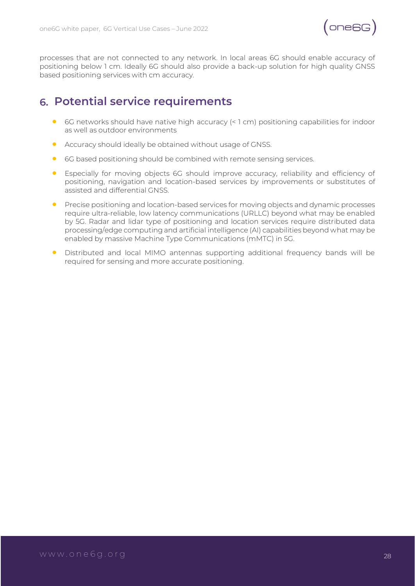

processes that are not connected to any network. In local areas 6G should enable accuracy of positioning below 1 cm. Ideally 6G should also provide a back-up solution for high quality GNSS based positioning services with cm accuracy.

#### **Potential service requirements**

- 6G networks should have native high accuracy (< 1 cm) positioning capabilities for indoor as well as outdoor environments
- Accuracy should ideally be obtained without usage of GNSS.
- 6G based positioning should be combined with remote sensing services.
- Especially for moving objects 6G should improve accuracy, reliability and efficiency of positioning, navigation and location-based services by improvements or substitutes of assisted and differential GNSS.
- Precise positioning and location-based services for moving objects and dynamic processes require ultra-reliable, low latency communications (URLLC) beyond what may be enabled by 5G. Radar and lidar type of positioning and location services require distributed data processing/edge computing and artificial intelligence (AI) capabilities beyond what may be enabled by massive Machine Type Communications (mMTC) in 5G.
- Distributed and local MIMO antennas supporting additional frequency bands will be required for sensing and more accurate positioning.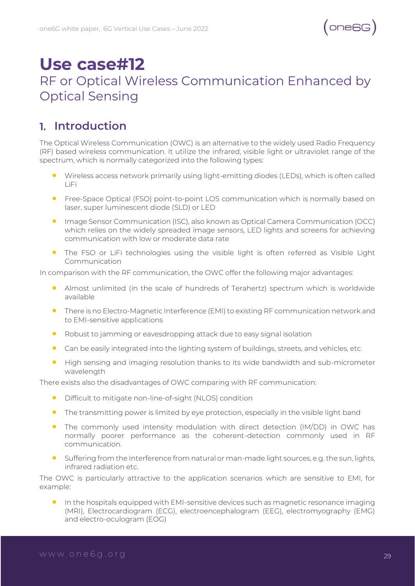### <span id="page-28-0"></span>**Use case#12** RF or Optical Wireless Communication Enhanced by Optical Sensing

#### **Introduction**

The Optical Wireless Communication (OWC) is an alternative to the widely used Radio Frequency (RF) based wireless communication. It utilize the infrared, visible light or ultraviolet range of the spectrum, which is normally categorized into the following types:

- Wireless access network primarily using light-emitting diodes (LEDs), which is often called LiFi
- Free-Space Optical (FSO) point-to-point LOS communication which is normally based on laser, super luminescent diode (SLD) or LED
- Image Sensor Communication (ISC), also known as Optical Camera Communication (OCC) which relies on the widely spreaded image sensors, LED lights and screens for achieving communication with low or moderate data rate
- The FSO or LiFi technologies using the visible light is often referred as Visible Light Communication

In comparison with the RF communication, the OWC offer the following major advantages:

- Almost unlimited (in the scale of hundreds of Terahertz) spectrum which is worldwide available
- There is no Electro-Magnetic Interference (EMI) to existing RF communication network and to EMI-sensitive applications
- Robust to jamming or eavesdropping attack due to easy signal isolation
- Can be easily integrated into the lighting system of buildings, streets, and vehicles, etc.
- High sensing and imaging resolution thanks to its wide bandwidth and sub-micrometer wavelength

There exists also the disadvantages of OWC comparing with RF communication:

- Difficult to mitigate non-line-of-sight (NLOS) condition
- The transmitting power is limited by eye protection, especially in the visible light band
- The commonly used intensity modulation with direct detection (IM/DD) in OWC has normally poorer performance as the coherent-detection commonly used in RF communication.
- Suffering from the Interference from natural or man-made light sources, e.g. the sun, lights, infrared radiation etc.

The OWC is particularly attractive to the application scenarios which are sensitive to EMI, for example:

• In the hospitals equipped with EMI-sensitive devices such as magnetic resonance imaging (MRI), Electrocardiogram (ECG), electroencephalogram (EEG), electromyography (EMG) and electro-oculogram (EOG)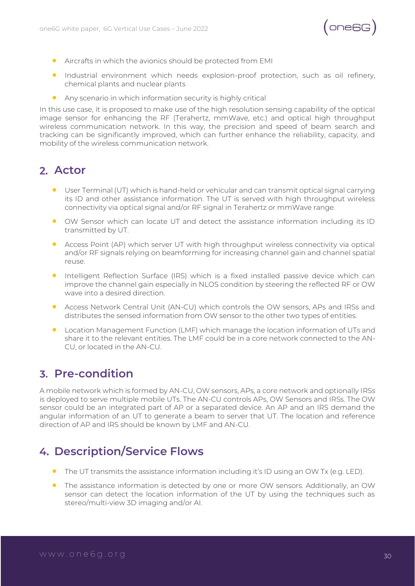

- Aircrafts in which the avionics should be protected from EMI
- Industrial environment which needs explosion-proof protection, such as oil refinery, chemical plants and nuclear plants
- Any scenario in which information security is highly critical

In this use case, it is proposed to make use of the high resolution sensing capability of the optical image sensor for enhancing the RF (Terahertz, mmWave, etc.) and optical high throughput wireless communication network. In this way, the precision and speed of beam search and tracking can be significantly improved, which can further enhance the reliability, capacity, and mobility of the wireless communication network.

#### **Actor**

- User Terminal (UT) which is hand-held or vehicular and can transmit optical signal carrying its ID and other assistance information. The UT is served with high throughput wireless connectivity via optical signal and/or RF signal in Terahertz or mmWave range.
- OW Sensor which can locate UT and detect the assistance information including its ID transmitted by UT.
- Access Point (AP) which server UT with high throughput wireless connectivity via optical and/or RF signals relying on beamforming for increasing channel gain and channel spatial reuse.
- Intelligent Reflection Surface (IRS) which is a fixed installed passive device which can improve the channel gain especially in NLOS condition by steering the reflected RF or OW wave into a desired direction.
- Access Network Central Unit (AN-CU) which controls the OW sensors, APs and IRSs and distributes the sensed information from OW sensor to the other two types of entities.
- Location Management Function (LMF) which manage the location information of UTs and share it to the relevant entities. The LMF could be in a core network connected to the AN-CU, or located in the AN-CU.

#### **Pre-condition**

A mobile network which is formed by AN-CU, OW sensors, APs, a core network and optionally IRSs is deployed to serve multiple mobile UTs. The AN-CU controls APs, OW Sensors and IRSs. The OW sensor could be an integrated part of AP or a separated device. An AP and an IRS demand the angular information of an UT to generate a beam to server that UT. The location and reference direction of AP and IRS should be known by LMF and AN-CU.

#### **Description/Service Flows**

- The UT transmits the assistance information including it's ID using an OW Tx (e.g. LED).
- The assistance information is detected by one or more OW sensors. Additionally, an OW sensor can detect the location information of the UT by using the techniques such as stereo/multi-view 3D imaging and/or AI.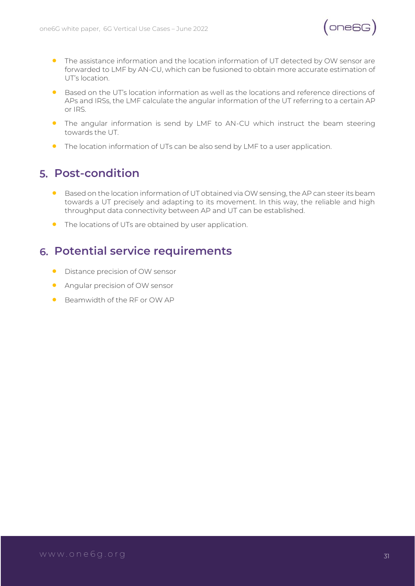

- The assistance information and the location information of UT detected by OW sensor are forwarded to LMF by AN-CU, which can be fusioned to obtain more accurate estimation of UT's location.
- Based on the UT's location information as well as the locations and reference directions of APs and IRSs, the LMF calculate the angular information of the UT referring to a certain AP or IRS.
- The angular information is send by LMF to AN-CU which instruct the beam steering towards the UT.
- The location information of UTs can be also send by LMF to a user application.

#### **Post-condition**

- Based on the location information of UT obtained via OW sensing, the AP can steer its beam towards a UT precisely and adapting to its movement. In this way, the reliable and high throughput data connectivity between AP and UT can be established.
- The locations of UTs are obtained by user application.

#### **Potential service requirements**

- Distance precision of OW sensor
- Angular precision of OW sensor
- Beamwidth of the RF or OW AP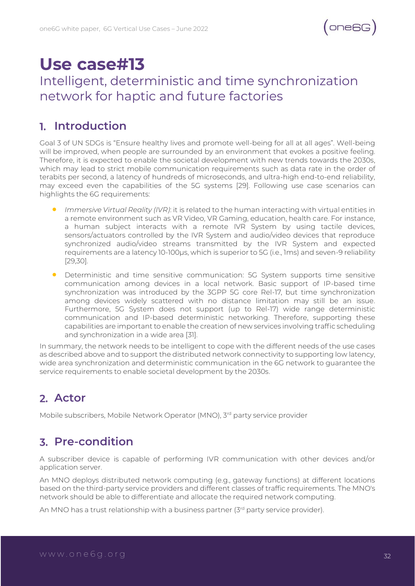### **Use case#13**

### <span id="page-31-0"></span>Intelligent, deterministic and time synchronization network for haptic and future factories

#### **Introduction**

Goal 3 of UN SDGs is "Ensure healthy lives and promote well-being for all at all ages". Well-being will be improved, when people are surrounded by an environment that evokes a positive feeling. Therefore, it is expected to enable the societal development with new trends towards the 2030s, which may lead to strict mobile communication requirements such as data rate in the order of terabits per second, a latency of hundreds of microseconds, and ultra-high end-to-end reliability, may exceed even the capabilities of the 5G systems [29]. Following use case scenarios can highlights the 6G requirements:

- *Immersive Virtual Reality (IVR)*: it is related to the human interacting with virtual entities in a remote environment such as VR Video, VR Gaming, education, health care. For instance, a human subject interacts with a remote IVR System by using tactile devices, sensors/actuators controlled by the IVR System and audio/video devices that reproduce synchronized audio/video streams transmitted by the IVR System and expected requirements are a latency 10-100µs, which is superior to 5G (i.e., 1ms) and seven-9 reliability [29,30].
- Deterministic and time sensitive communication: 5G System supports time sensitive communication among devices in a local network. Basic support of IP-based time synchronization was introduced by the 3GPP 5G core Rel-17, but time synchronization among devices widely scattered with no distance limitation may still be an issue. Furthermore, 5G System does not support (up to Rel-17) wide range deterministic communication and IP-based deterministic networking. Therefore, supporting these capabilities are important to enable the creation of new services involving traffic scheduling and synchronization in a wide area [31].

In summary, the network needs to be intelligent to cope with the different needs of the use cases as described above and to support the distributed network connectivity to supporting low latency, wide area synchronization and deterministic communication in the 6G network to guarantee the service requirements to enable societal development by the 2030s.

#### **Actor**

Mobile subscribers, Mobile Network Operator (MNO), 3<sup>rd</sup> party service provider

#### **Pre-condition**

A subscriber device is capable of performing IVR communication with other devices and/or application server.

An MNO deploys distributed network computing (e.g., gateway functions) at different locations based on the third-party service providers and different classes of traffic requirements. The MNO's network should be able to differentiate and allocate the required network computing.

An MNO has a trust relationship with a business partner (3rd party service provider).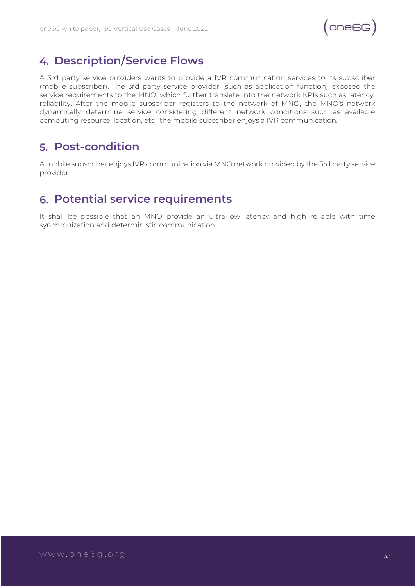$(ones)$ 

#### **Description/Service Flows**

A 3rd party service providers wants to provide a IVR communication services to its subscriber (mobile subscriber). The 3rd party service provider (such as application function) exposed the service requirements to the MNO, which further translate into the network KPIs such as latency, reliability. After the mobile subscriber registers to the network of MNO, the MNO's network dynamically determine service considering different network conditions such as available computing resource, location, etc., the mobile subscriber enjoys a IVR communication.

#### **Post-condition**

A mobile subscriber enjoys IVR communication via MNO network provided by the 3rd party service provider.

#### **Potential service requirements**

It shall be possible that an MNO provide an ultra-low latency and high reliable with time synchronization and deterministic communication.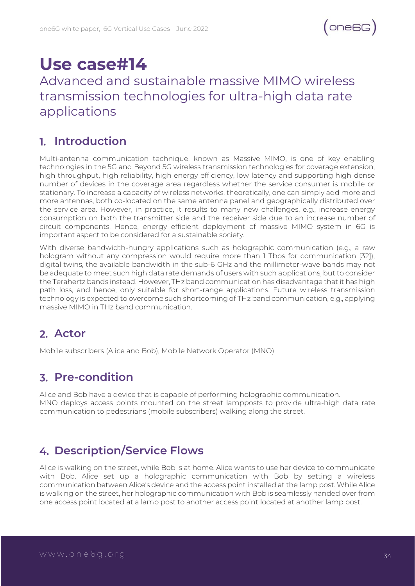### **Use case#14**

#### <span id="page-33-0"></span>Advanced and sustainable massive MIMO wireless transmission technologies for ultra-high data rate applications

#### **Introduction**

Multi-antenna communication technique, known as Massive MIMO, is one of key enabling technologies in the 5G and Beyond 5G wireless transmission technologies for coverage extension, high throughput, high reliability, high energy efficiency, low latency and supporting high dense number of devices in the coverage area regardless whether the service consumer is mobile or stationary. To increase a capacity of wireless networks, theoretically, one can simply add more and more antennas, both co-located on the same antenna panel and geographically distributed over the service area. However, in practice, it results to many new challenges, e.g., increase energy consumption on both the transmitter side and the receiver side due to an increase number of circuit components. Hence, energy efficient deployment of massive MIMO system in 6G is important aspect to be considered for a sustainable society.

With diverse bandwidth-hungry applications such as holographic communication (e.g., a raw hologram without any compression would require more than 1 Tbps for communication [32]), digital twins, the available bandwidth in the sub-6 GHz and the millimeter-wave bands may not be adequate to meet such high data rate demands of users with such applications, but to consider the Terahertz bands instead. However, THz band communication has disadvantage that it has high path loss, and hence, only suitable for short-range applications. Future wireless transmission technology is expected to overcome such shortcoming of THz band communication, e.g., applying massive MIMO in THz band communication.

#### **Actor**

Mobile subscribers (Alice and Bob), Mobile Network Operator (MNO)

#### **Pre-condition**

Alice and Bob have a device that is capable of performing holographic communication. MNO deploys access points mounted on the street lampposts to provide ultra-high data rate communication to pedestrians (mobile subscribers) walking along the street.

#### **Description/Service Flows**

Alice is walking on the street, while Bob is at home. Alice wants to use her device to communicate with Bob. Alice set up a holographic communication with Bob by setting a wireless communication between Alice's device and the access point installed at the lamp post. While Alice is walking on the street, her holographic communication with Bob is seamlessly handed over from one access point located at a lamp post to another access point located at another lamp post.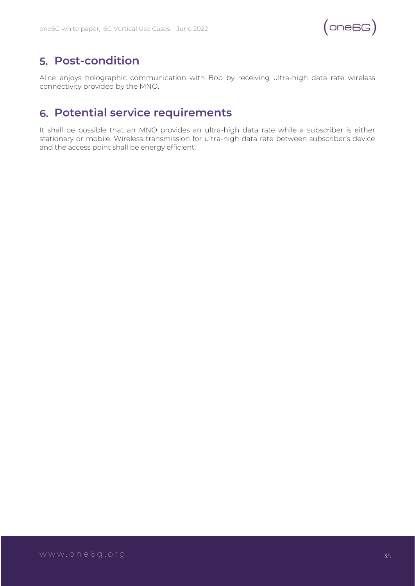

#### **Post-condition**

Alice enjoys holographic communication with Bob by receiving ultra-high data rate wireless connectivity provided by the MNO.

#### **Potential service requirements**

It shall be possible that an MNO provides an ultra-high data rate while a subscriber is either stationary or mobile. Wireless transmission for ultra-high data rate between subscriber's device and the access point shall be energy efficient.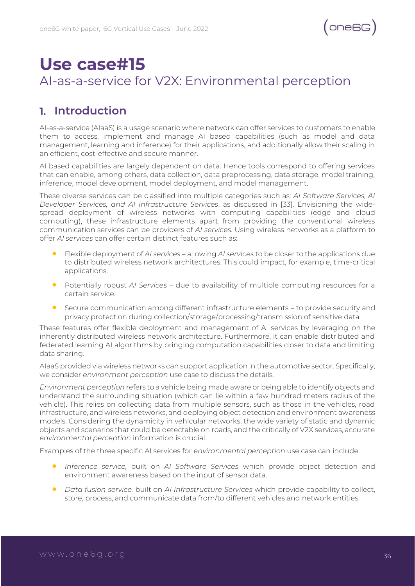### <span id="page-35-0"></span>**Use case#15** AI-as-a-service for V2X: Environmental perception

#### **Introduction**

AI-as-a-service (AIaaS) is a usage scenario where network can offer services to customers to enable them to access, implement and manage AI based capabilities (such as model and data management, learning and inference) for their applications, and additionally allow their scaling in an efficient, cost-effective and secure manner.

AI based capabilities are largely dependent on data. Hence tools correspond to offering services that can enable, among others, data collection, data preprocessing, data storage, model training, inference, model development, model deployment, and model management.

These diverse services can be classified into multiple categories such as: *AI Software Services, AI Developer Services, and AI Infrastructure Services*, as discussed in [33]. Envisioning the widespread deployment of wireless networks with computing capabilities (edge and cloud computing), these infrastructure elements apart from providing the conventional wireless communication services can be providers of *AI services.* Using wireless networks as a platform to offer *AI services* can offer certain distinct features such as:

- Flexible deployment of *AI services* allowing *AI services* to be closer to the applications due to distributed wireless network architectures. This could impact, for example, time-critical applications.
- Potentially robust *AI Services* due to availability of multiple computing resources for a certain service.
- Secure communication among different infrastructure elements to provide security and privacy protection during collection/storage/processing/transmission of sensitive data.

These features offer flexible deployment and management of AI services by leveraging on the inherently distributed wireless network architecture. Furthermore, it can enable distributed and federated learning AI algorithms by bringing computation capabilities closer to data and limiting data sharing.

AIaaS provided via wireless networks can support application in the automotive sector. Specifically, we consider *environment perception* use case to discuss the details.

*Environment perception* refers to a vehicle being made aware or being able to identify objects and understand the surrounding situation (which can lie within a few hundred meters radius of the vehicle). This relies on collecting data from multiple sensors, such as those in the vehicles, road infrastructure, and wireless networks, and deploying object detection and environment awareness models. Considering the dynamicity in vehicular networks, the wide variety of static and dynamic objects and scenarios that could be detectable on roads, and the critically of V2X services, accurate *environmental perception* information is crucial.

Examples of the three specific AI services for *environmental perception* use case can include:

- *Inference service,* built on *AI Software Services* which provide object detection and environment awareness based on the input of sensor data.
- *Data fusion service,* built on *AI Infrastructure Services* which provide capability to collect, store, process, and communicate data from/to different vehicles and network entities.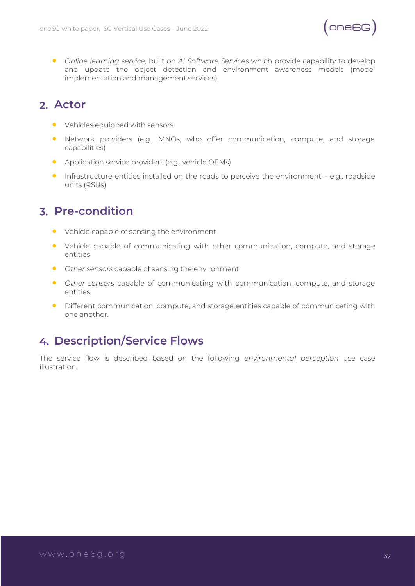

• *Online learning service,* built on *AI Software Services* which provide capability to develop and update the object detection and environment awareness models (model implementation and management services).

#### **Actor**

- Vehicles equipped with sensors
- Network providers (e.g., MNOs, who offer communication, compute, and storage capabilities)
- Application service providers (e.g., vehicle OEMs)
- Infrastructure entities installed on the roads to perceive the environment e.g., roadside units (RSUs)

#### **Pre-condition**

- Vehicle capable of sensing the environment
- Vehicle capable of communicating with other communication, compute, and storage entities
- *Other sensors* capable of sensing the environment
- *Other sensors* capable of communicating with communication, compute, and storage entities
- Different communication, compute, and storage entities capable of communicating with one another.

#### **Description/Service Flows**

The service flow is described based on the following *environmental perception* use case illustration*.*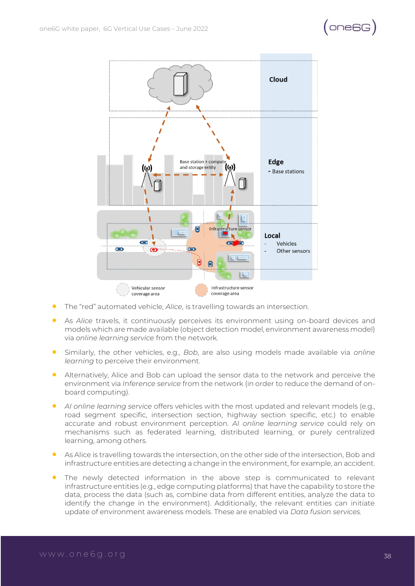## $($  one6G $)$



- The "red" automated vehicle, *Alice*, is travelling towards an intersection.
- As *Alice* travels, it continuously perceives its environment using on-board devices and models which are made available (object detection model, environment awareness model) via *online learning service* from the network*.*
- Similarly, the other vehicles, e.g., *Bob*, are also using models made available via *online learning* to perceive their environment.
- Alternatively, Alice and Bob can upload the sensor data to the network and perceive the environment via *Inference service* from the network (in order to reduce the demand of onboard computing).
- *AI online learning service* offers vehicles with the most updated and relevant models (e.g., road segment specific, intersection section, highway section specific, etc.) to enable accurate and robust environment perception. *AI online learning service* could rely on mechanisms such as federated learning, distributed learning, or purely centralized learning, among others.
- As Alice is travelling towards the intersection, on the other side of the intersection, Bob and infrastructure entities are detecting a change in the environment, for example, an accident.
- The newly detected information in the above step is communicated to relevant infrastructure entities (e.g., edge computing platforms) that have the capability to store the data, process the data (such as, combine data from different entities, analyze the data to identify the change in the environment). Additionally, the relevant entities can initiate update of environment awareness models. These are enabled via *Data fusion services.*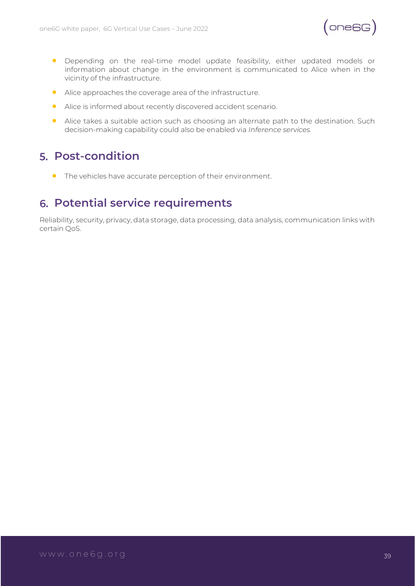

- Depending on the real-time model update feasibility, either updated models or information about change in the environment is communicated to Alice when in the vicinity of the infrastructure.
- Alice approaches the coverage area of the infrastructure.
- Alice is informed about recently discovered accident scenario.
- Alice takes a suitable action such as choosing an alternate path to the destination. Such decision-making capability could also be enabled via *Inference services.*

#### **Post-condition**

• The vehicles have accurate perception of their environment.

#### **Potential service requirements**

Reliability, security, privacy, data storage, data processing, data analysis, communication links with certain QoS.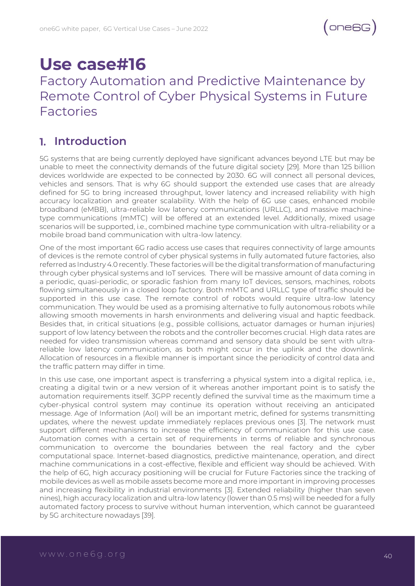## **Use case#16**

### Factory Automation and Predictive Maintenance by Remote Control of Cyber Physical Systems in Future Factories

#### **Introduction**

5G systems that are being currently deployed have significant advances beyond LTE but may be unable to meet the connectivity demands of the future digital society [29]. More than 125 billion devices worldwide are expected to be connected by 2030. 6G will connect all personal devices, vehicles and sensors. That is why 6G should support the extended use cases that are already defined for 5G to bring increased throughput, lower latency and increased reliability with high accuracy localization and greater scalability. With the help of 6G use cases, enhanced mobile broadband (eMBB), ultra-reliable low latency communications (URLLC), and massive machinetype communications (mMTC) will be offered at an extended level. Additionally, mixed usage scenarios will be supported, i.e., combined machine type communication with ultra-reliability or a mobile broad band communication with ultra-low latency.

One of the most important 6G radio access use cases that requires connectivity of large amounts of devices is the remote control of cyber physical systems in fully automated future factories, also referred as Industry 4.0 recently. These factories will be the digital transformation of manufacturing through cyber physical systems and IoT services. There will be massive amount of data coming in a periodic, quasi-periodic, or sporadic fashion from many IoT devices, sensors, machines, robots flowing simultaneously in a closed loop factory. Both mMTC and URLLC type of traffic should be supported in this use case. The remote control of robots would require ultra-low latency communication. They would be used as a promising alternative to fully autonomous robots while allowing smooth movements in harsh environments and delivering visual and haptic feedback. Besides that, in critical situations (e.g., possible collisions, actuator damages or human injuries) support of low latency between the robots and the controller becomes crucial. High data rates are needed for video transmission whereas command and sensory data should be sent with ultrareliable low latency communication, as both might occur in the uplink and the downlink. Allocation of resources in a flexible manner is important since the periodicity of control data and the traffic pattern may differ in time.

In this use case, one important aspect is transferring a physical system into a digital replica, i.e., creating a digital twin or a new version of it whereas another important point is to satisfy the automation requirements itself. 3GPP recently defined the survival time as the maximum time a cyber-physical control system may continue its operation without receiving an anticipated message. Age of Information (AoI) will be an important metric, defined for systems transmitting updates, where the newest update immediately replaces previous ones [3]. The network must support different mechanisms to increase the efficiency of communication for this use case. Automation comes with a certain set of requirements in terms of reliable and synchronous communication to overcome the boundaries between the real factory and the cyber computational space. Internet-based diagnostics, predictive maintenance, operation, and direct machine communications in a cost-effective, flexible and efficient way should be achieved. With the help of 6G, high accuracy positioning will be crucial for Future Factories since the tracking of mobile devices as well as mobile assets become more and more important in improving processes and increasing flexibility in industrial environments [3]. Extended reliability (higher than seven nines), high accuracy localization and ultra-low latency (lower than 0.5 ms) will be needed for a fully automated factory process to survive without human intervention, which cannot be guaranteed by 5G architecture nowadays [39].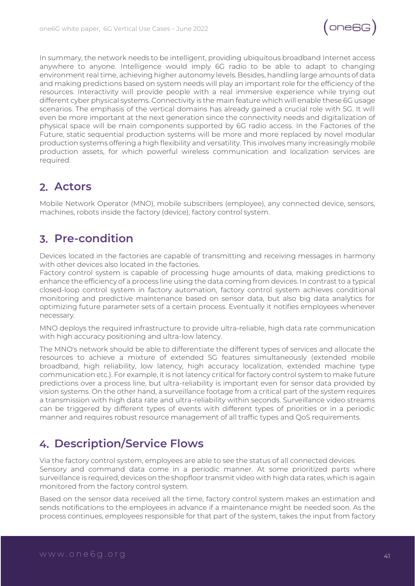

In summary, the network needs to be intelligent, providing ubiquitous broadband Internet access anywhere to anyone. Intelligence would imply 6G radio to be able to adapt to changing environment real time, achieving higher autonomy levels. Besides, handling large amounts of data and making predictions based on system needs will play an important role for the efficiency of the resources. Interactivity will provide people with a real immersive experience while trying out different cyber physical systems. Connectivity is the main feature which will enable these 6G usage scenarios. The emphasis of the vertical domains has already gained a crucial role with 5G. It will even be more important at the next generation since the connectivity needs and digitalization of physical space will be main components supported by 6G radio access. In the Factories of the Future, static sequential production systems will be more and more replaced by novel modular production systems offering a high flexibility and versatility. This involves many increasingly mobile production assets, for which powerful wireless communication and localization services are required.

#### **Actors**

Mobile Network Operator (MNO), mobile subscribers (employee), any connected device, sensors, machines, robots inside the factory (device), factory control system.

#### **Pre-condition**

Devices located in the factories are capable of transmitting and receiving messages in harmony with other devices also located in the factories.

Factory control system is capable of processing huge amounts of data, making predictions to enhance the efficiency of a process line using the data coming from devices. In contrast to a typical closed-loop control system in factory automation, factory control system achieves conditional monitoring and predictive maintenance based on sensor data, but also big data analytics for optimizing future parameter sets of a certain process. Eventually it notifies employees whenever necessary.

MNO deploys the required infrastructure to provide ultra-reliable, high data rate communication with high accuracy positioning and ultra-low latency.

The MNO's network should be able to differentiate the different types of services and allocate the resources to achieve a mixture of extended 5G features simultaneously (extended mobile broadband, high reliability, low latency, high accuracy localization, extended machine type communication etc.). For example, it is not latency critical for factory control system to make future predictions over a process line, but ultra-reliability is important even for sensor data provided by vision systems. On the other hand, a surveillance footage from a critical part of the system requires a transmission with high data rate and ultra-reliability within seconds. Surveillance video streams can be triggered by different types of events with different types of priorities or in a periodic manner and requires robust resource management of all traffic types and QoS requirements.

#### **Description/Service Flows**

Via the factory control system, employees are able to see the status of all connected devices. Sensory and command data come in a periodic manner. At some prioritized parts where surveillance is required, devices on the shopfloor transmit video with high data rates, which is again monitored from the factory control system.

Based on the sensor data received all the time, factory control system makes an estimation and sends notifications to the employees in advance if a maintenance might be needed soon. As the process continues, employees responsible for that part of the system, takes the input from factory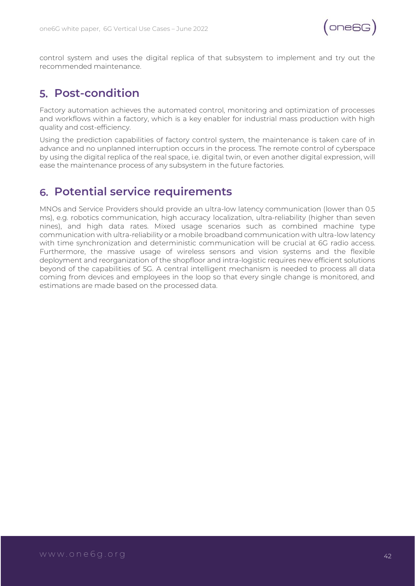

control system and uses the digital replica of that subsystem to implement and try out the recommended maintenance.

#### **Post-condition**

Factory automation achieves the automated control, monitoring and optimization of processes and workflows within a factory, which is a key enabler for industrial mass production with high quality and cost-efficiency.

Using the prediction capabilities of factory control system, the maintenance is taken care of in advance and no unplanned interruption occurs in the process. The remote control of cyberspace by using the digital replica of the real space, i.e. digital twin, or even another digital expression, will ease the maintenance process of any subsystem in the future factories.

#### **Potential service requirements**

MNOs and Service Providers should provide an ultra-low latency communication (lower than 0.5 ms), e.g. robotics communication, high accuracy localization, ultra-reliability (higher than seven nines), and high data rates. Mixed usage scenarios such as combined machine type communication with ultra-reliability or a mobile broadband communication with ultra-low latency with time synchronization and deterministic communication will be crucial at 6G radio access. Furthermore, the massive usage of wireless sensors and vision systems and the flexible deployment and reorganization of the shopfloor and intra-logistic requires new efficient solutions beyond of the capabilities of 5G. A central intelligent mechanism is needed to process all data coming from devices and employees in the loop so that every single change is monitored, and estimations are made based on the processed data.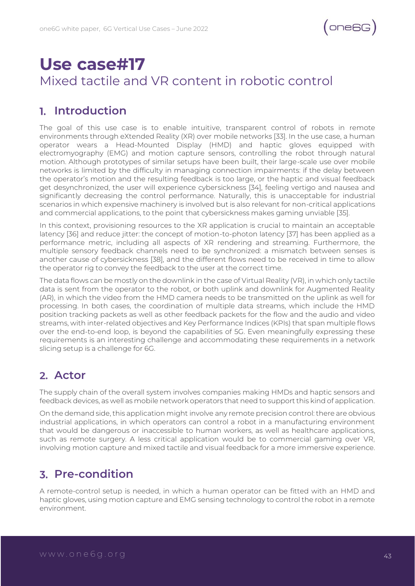

## **Use case#17** Mixed tactile and VR content in robotic control

#### **Introduction**

The goal of this use case is to enable intuitive, transparent control of robots in remote environments through eXtended Reality (XR) over mobile networks [33]. In the use case, a human operator wears a Head-Mounted Display (HMD) and haptic gloves equipped with electromyography (EMG) and motion capture sensors, controlling the robot through natural motion. Although prototypes of similar setups have been built, their large-scale use over mobile networks is limited by the difficulty in managing connection impairments: if the delay between the operator's motion and the resulting feedback is too large, or the haptic and visual feedback get desynchronized, the user will experience cybersickness [34], feeling vertigo and nausea and significantly decreasing the control performance. Naturally, this is unacceptable for industrial scenarios in which expensive machinery is involved but is also relevant for non-critical applications and commercial applications, to the point that cybersickness makes gaming unviable [35].

In this context, provisioning resources to the XR application is crucial to maintain an acceptable latency [36] and reduce jitter: the concept of motion-to-photon latency [37] has been applied as a performance metric, including all aspects of XR rendering and streaming. Furthermore, the multiple sensory feedback channels need to be synchronized: a mismatch between senses is another cause of cybersickness [38], and the different flows need to be received in time to allow the operator rig to convey the feedback to the user at the correct time.

The data flows can be mostly on the downlink in the case of Virtual Reality (VR), in which only tactile data is sent from the operator to the robot, or both uplink and downlink for Augmented Reality (AR), in which the video from the HMD camera needs to be transmitted on the uplink as well for processing. In both cases, the coordination of multiple data streams, which include the HMD position tracking packets as well as other feedback packets for the flow and the audio and video streams, with inter-related objectives and Key Performance Indices (KPIs) that span multiple flows over the end-to-end loop, is beyond the capabilities of 5G. Even meaningfully expressing these requirements is an interesting challenge and accommodating these requirements in a network slicing setup is a challenge for 6G.

#### **Actor**

The supply chain of the overall system involves companies making HMDs and haptic sensors and feedback devices, as well as mobile network operators that need to support this kind of application.

On the demand side, this application might involve any remote precision control: there are obvious industrial applications, in which operators can control a robot in a manufacturing environment that would be dangerous or inaccessible to human workers, as well as healthcare applications, such as remote surgery. A less critical application would be to commercial gaming over VR, involving motion capture and mixed tactile and visual feedback for a more immersive experience.

#### **Pre-condition**

A remote-control setup is needed, in which a human operator can be fitted with an HMD and haptic gloves, using motion capture and EMG sensing technology to control the robot in a remote environment.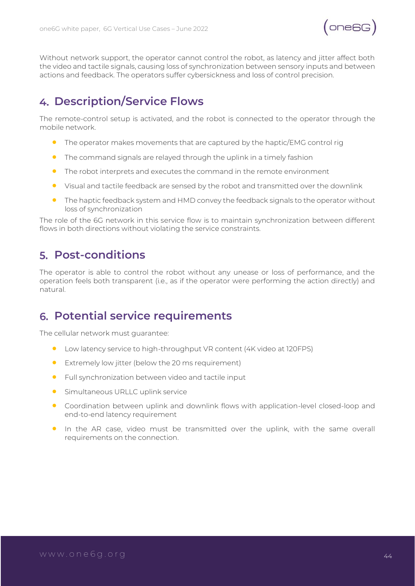

Without network support, the operator cannot control the robot, as latency and jitter affect both the video and tactile signals, causing loss of synchronization between sensory inputs and between actions and feedback. The operators suffer cybersickness and loss of control precision.

#### **Description/Service Flows**

The remote-control setup is activated, and the robot is connected to the operator through the mobile network.

- The operator makes movements that are captured by the haptic/EMG control rig
- The command signals are relayed through the uplink in a timely fashion
- The robot interprets and executes the command in the remote environment
- Visual and tactile feedback are sensed by the robot and transmitted over the downlink
- The haptic feedback system and HMD convey the feedback signals to the operator without loss of synchronization

The role of the 6G network in this service flow is to maintain synchronization between different flows in both directions without violating the service constraints.

#### **Post-conditions**

The operator is able to control the robot without any unease or loss of performance, and the operation feels both transparent (i.e., as if the operator were performing the action directly) and natural.

#### **Potential service requirements**

The cellular network must guarantee:

- Low latency service to high-throughput VR content (4K video at 120FPS)
- Extremely low jitter (below the 20 ms requirement)
- Full synchronization between video and tactile input
- **•** Simultaneous URLLC uplink service
- Coordination between uplink and downlink flows with application-level closed-loop and end-to-end latency requirement
- In the AR case, video must be transmitted over the uplink, with the same overall requirements on the connection.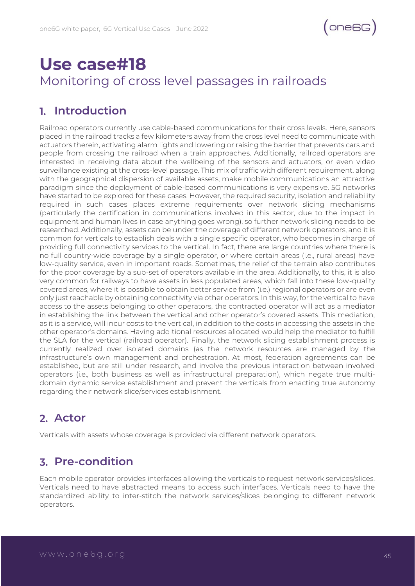

## **Use case#18** Monitoring of cross level passages in railroads

#### **Introduction**

Railroad operators currently use cable-based communications for their cross levels. Here, sensors placed in the railroad tracks a few kilometers away from the cross level need to communicate with actuators therein, activating alarm lights and lowering or raising the barrier that prevents cars and people from crossing the railroad when a train approaches. Additionally, railroad operators are interested in receiving data about the wellbeing of the sensors and actuators, or even video surveillance existing at the cross-level passage. This mix of traffic with different requirement, along with the geographical dispersion of available assets, make mobile communications an attractive paradigm since the deployment of cable-based communications is very expensive. 5G networks have started to be explored for these cases. However, the required security, isolation and reliability required in such cases places extreme requirements over network slicing mechanisms (particularly the certification in communications involved in this sector, due to the impact in equipment and human lives in case anything goes wrong), so further network slicing needs to be researched. Additionally, assets can be under the coverage of different network operators, and it is common for verticals to establish deals with a single specific operator, who becomes in charge of providing full connectivity services to the vertical. In fact, there are large countries where there is no full country-wide coverage by a single operator, or where certain areas (i.e., rural areas) have low-quality service, even in important roads. Sometimes, the relief of the terrain also contributes for the poor coverage by a sub-set of operators available in the area. Additionally, to this, it is also very common for railways to have assets in less populated areas, which fall into these low-quality covered areas, where it is possible to obtain better service from (i.e.) regional operators or are even only just reachable by obtaining connectivity via other operators. In this way, for the vertical to have access to the assets belonging to other operators, the contracted operator will act as a mediator in establishing the link between the vertical and other operator's covered assets. This mediation, as it is a service, will incur costs to the vertical, in addition to the costs in accessing the assets in the other operator's domains. Having additional resources allocated would help the mediator to fulfill the SLA for the vertical (railroad operator). Finally, the network slicing establishment process is currently realized over isolated domains (as the network resources are managed by the infrastructure's own management and orchestration. At most, federation agreements can be established, but are still under research, and involve the previous interaction between involved operators (i.e., both business as well as infrastructural preparation), which negate true multidomain dynamic service establishment and prevent the verticals from enacting true autonomy regarding their network slice/services establishment.

#### **Actor**

Verticals with assets whose coverage is provided via different network operators.

#### **Pre-condition**

Each mobile operator provides interfaces allowing the verticals to request network services/slices. Verticals need to have abstracted means to access such interfaces. Verticals need to have the standardized ability to inter-stitch the network services/slices belonging to different network operators.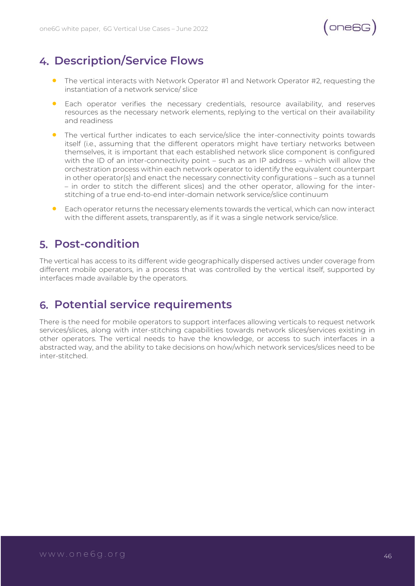

#### **Description/Service Flows**

- The vertical interacts with Network Operator #1 and Network Operator #2, requesting the instantiation of a network service/ slice
- Each operator verifies the necessary credentials, resource availability, and reserves resources as the necessary network elements, replying to the vertical on their availability and readiness
- The vertical further indicates to each service/slice the inter-connectivity points towards itself (i.e., assuming that the different operators might have tertiary networks between themselves, it is important that each established network slice component is configured with the ID of an inter-connectivity point – such as an IP address – which will allow the orchestration process within each network operator to identify the equivalent counterpart in other operator(s) and enact the necessary connectivity configurations – such as a tunnel – in order to stitch the different slices) and the other operator, allowing for the interstitching of a true end-to-end inter-domain network service/slice continuum
- Each operator returns the necessary elements towards the vertical, which can now interact with the different assets, transparently, as if it was a single network service/slice.

#### **Post-condition**

The vertical has access to its different wide geographically dispersed actives under coverage from different mobile operators, in a process that was controlled by the vertical itself, supported by interfaces made available by the operators.

#### **Potential service requirements**

There is the need for mobile operators to support interfaces allowing verticals to request network services/slices, along with inter-stitching capabilities towards network slices/services existing in other operators. The vertical needs to have the knowledge, or access to such interfaces in a abstracted way, and the ability to take decisions on how/which network services/slices need to be inter-stitched.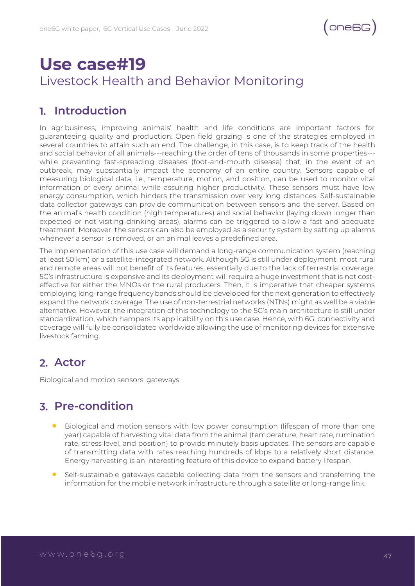

## **Use case#19** Livestock Health and Behavior Monitoring

#### **Introduction**

In agribusiness, improving animals' health and life conditions are important factors for guaranteeing quality and production. Open field grazing is one of the strategies employed in several countries to attain such an end. The challenge, in this case, is to keep track of the health and social behavior of all animals---reaching the order of tens of thousands in some properties-- while preventing fast-spreading diseases (foot-and-mouth disease) that, in the event of an outbreak, may substantially impact the economy of an entire country. Sensors capable of measuring biological data, i.e., temperature, motion, and position, can be used to monitor vital information of every animal while assuring higher productivity. These sensors must have low energy consumption, which hinders the transmission over very long distances. Self-sustainable data collector gateways can provide communication between sensors and the server. Based on the animal's health condition (high temperatures) and social behavior (laying down longer than expected or not visiting drinking areas), alarms can be triggered to allow a fast and adequate treatment. Moreover, the sensors can also be employed as a security system by setting up alarms whenever a sensor is removed, or an animal leaves a predefined area.

The implementation of this use case will demand a long-range communication system (reaching at least 50 km) or a satellite-integrated network. Although 5G is still under deployment, most rural and remote areas will not benefit of its features, essentially due to the lack of terrestrial coverage. 5G's infrastructure is expensive and its deployment will require a huge investment that is not costeffective for either the MNOs or the rural producers. Then, it is imperative that cheaper systems employing long-range frequency bands should be developed for the next generation to effectively expand the network coverage. The use of non-terrestrial networks (NTNs) might as well be a viable alternative. However, the integration of this technology to the 5G's main architecture is still under standardization, which hampers its applicability on this use case. Hence, with 6G, connectivity and coverage will fully be consolidated worldwide allowing the use of monitoring devices for extensive livestock farming.

#### **Actor**

Biological and motion sensors, gateways

#### **Pre-condition**

- Biological and motion sensors with low power consumption (lifespan of more than one year) capable of harvesting vital data from the animal (temperature, heart rate, rumination rate, stress level, and position) to provide minutely basis updates. The sensors are capable of transmitting data with rates reaching hundreds of kbps to a relatively short distance. Energy harvesting is an interesting feature of this device to expand battery lifespan.
- Self-sustainable gateways capable collecting data from the sensors and transferring the information for the mobile network infrastructure through a satellite or long-range link.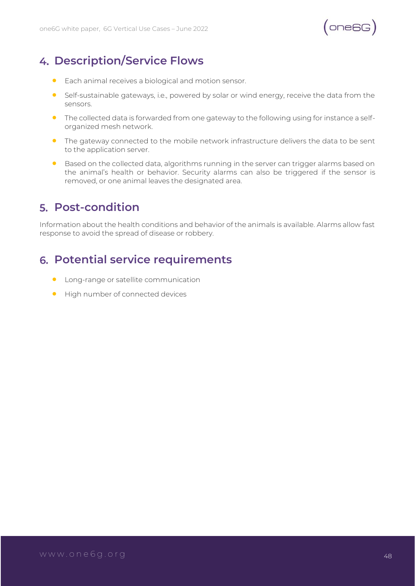

#### **Description/Service Flows**

- Each animal receives a biological and motion sensor.
- Self-sustainable gateways, i.e., powered by solar or wind energy, receive the data from the sensors.
- The collected data is forwarded from one gateway to the following using for instance a selforganized mesh network.
- The gateway connected to the mobile network infrastructure delivers the data to be sent to the application server.
- Based on the collected data, algorithms running in the server can trigger alarms based on the animal's health or behavior. Security alarms can also be triggered if the sensor is removed, or one animal leaves the designated area.

#### **Post-condition**

Information about the health conditions and behavior of the animals is available. Alarms allow fast response to avoid the spread of disease or robbery.

#### **Potential service requirements**

- Long-range or satellite communication
- High number of connected devices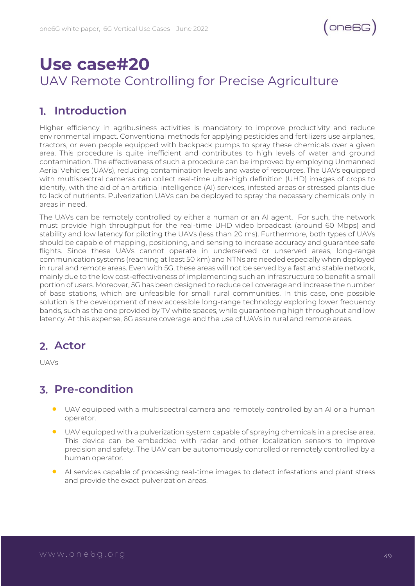

## **Use case#20** UAV Remote Controlling for Precise Agriculture

#### **Introduction**

Higher efficiency in agribusiness activities is mandatory to improve productivity and reduce environmental impact. Conventional methods for applying pesticides and fertilizers use airplanes, tractors, or even people equipped with backpack pumps to spray these chemicals over a given area. This procedure is quite inefficient and contributes to high levels of water and ground contamination. The effectiveness of such a procedure can be improved by employing Unmanned Aerial Vehicles (UAVs), reducing contamination levels and waste of resources. The UAVs equipped with multispectral cameras can collect real-time ultra-high definition (UHD) images of crops to identify, with the aid of an artificial intelligence (AI) services, infested areas or stressed plants due to lack of nutrients. Pulverization UAVs can be deployed to spray the necessary chemicals only in areas in need.

The UAVs can be remotely controlled by either a human or an AI agent. For such, the network must provide high throughput for the real-time UHD video broadcast (around 60 Mbps) and stability and low latency for piloting the UAVs (less than 20 ms). Furthermore, both types of UAVs should be capable of mapping, positioning, and sensing to increase accuracy and guarantee safe flights. Since these UAVs cannot operate in underserved or unserved areas, long-range communication systems (reaching at least 50 km) and NTNs are needed especially when deployed in rural and remote areas. Even with 5G, these areas will not be served by a fast and stable network, mainly due to the low cost-effectiveness of implementing such an infrastructure to benefit a small portion of users. Moreover, 5G has been designed to reduce cell coverage and increase the number of base stations, which are unfeasible for small rural communities. In this case, one possible solution is the development of new accessible long-range technology exploring lower frequency bands, such as the one provided by TV white spaces, while guaranteeing high throughput and low latency. At this expense, 6G assure coverage and the use of UAVs in rural and remote areas.

#### **Actor**

UAVs

#### **Pre-condition**

- UAV equipped with a multispectral camera and remotely controlled by an AI or a human operator.
- UAV equipped with a pulverization system capable of spraying chemicals in a precise area. This device can be embedded with radar and other localization sensors to improve precision and safety. The UAV can be autonomously controlled or remotely controlled by a human operator.
- AI services capable of processing real-time images to detect infestations and plant stress and provide the exact pulverization areas.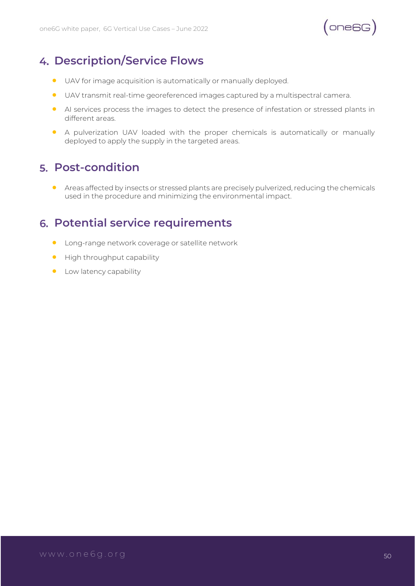

#### **Description/Service Flows**

- UAV for image acquisition is automatically or manually deployed.
- UAV transmit real-time georeferenced images captured by a multispectral camera.
- AI services process the images to detect the presence of infestation or stressed plants in different areas.
- A pulverization UAV loaded with the proper chemicals is automatically or manually deployed to apply the supply in the targeted areas.

#### **Post-condition**

• Areas affected by insects or stressed plants are precisely pulverized, reducing the chemicals used in the procedure and minimizing the environmental impact.

#### **Potential service requirements**

- Long-range network coverage or satellite network
- High throughput capability
- **•** Low latency capability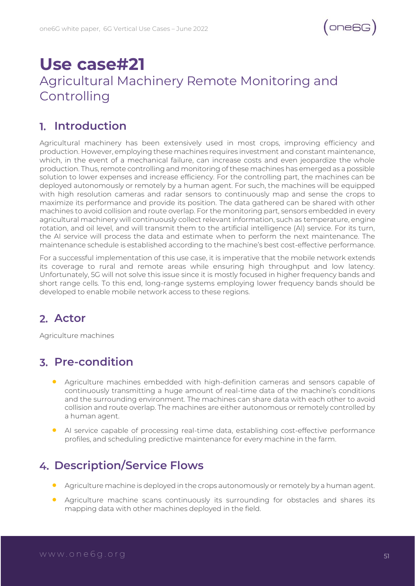

## **Use case#21** Agricultural Machinery Remote Monitoring and Controlling

#### **Introduction**

Agricultural machinery has been extensively used in most crops, improving efficiency and production. However, employing these machines requires investment and constant maintenance, which, in the event of a mechanical failure, can increase costs and even jeopardize the whole production. Thus, remote controlling and monitoring of these machines has emerged as a possible solution to lower expenses and increase efficiency. For the controlling part, the machines can be deployed autonomously or remotely by a human agent. For such, the machines will be equipped with high resolution cameras and radar sensors to continuously map and sense the crops to maximize its performance and provide its position. The data gathered can be shared with other machines to avoid collision and route overlap. For the monitoring part, sensors embedded in every agricultural machinery will continuously collect relevant information, such as temperature, engine rotation, and oil level, and will transmit them to the artificial intelligence (AI) service. For its turn, the AI service will process the data and estimate when to perform the next maintenance. The maintenance schedule is established according to the machine's best cost-effective performance.

For a successful implementation of this use case, it is imperative that the mobile network extends its coverage to rural and remote areas while ensuring high throughput and low latency. Unfortunately, 5G will not solve this issue since it is mostly focused in higher frequency bands and short range cells. To this end, long-range systems employing lower frequency bands should be developed to enable mobile network access to these regions.

#### **Actor**

Agriculture machines

#### **Pre-condition**

- Agriculture machines embedded with high-definition cameras and sensors capable of continuously transmitting a huge amount of real-time data of the machine's conditions and the surrounding environment. The machines can share data with each other to avoid collision and route overlap. The machines are either autonomous or remotely controlled by a human agent.
- AI service capable of processing real-time data, establishing cost-effective performance profiles, and scheduling predictive maintenance for every machine in the farm.

#### **Description/Service Flows**

- Agriculture machine is deployed in the crops autonomously or remotely by a human agent.
- Agriculture machine scans continuously its surrounding for obstacles and shares its mapping data with other machines deployed in the field.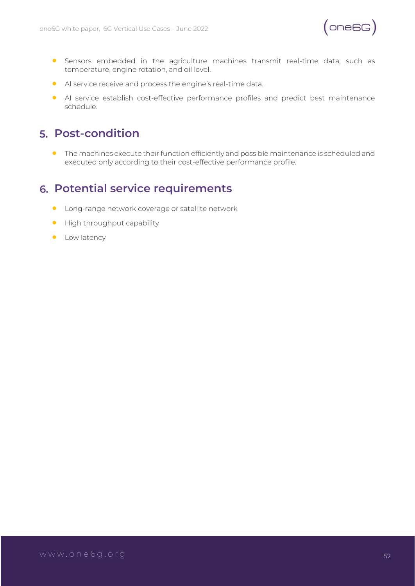

- Sensors embedded in the agriculture machines transmit real-time data, such as temperature, engine rotation, and oil level.
- AI service receive and process the engine's real-time data.
- AI service establish cost-effective performance profiles and predict best maintenance schedule.

#### **Post-condition**

• The machines execute their function efficiently and possible maintenance is scheduled and executed only according to their cost-effective performance profile.

#### **Potential service requirements**

- Long-range network coverage or satellite network
- High throughput capability
- **•** Low latency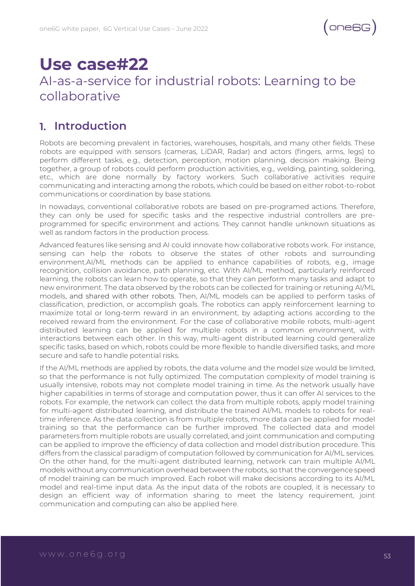## **Use case#22**

### AI-as-a-service for industrial robots: Learning to be collaborative

#### **Introduction**

Robots are becoming prevalent in factories, warehouses, hospitals, and many other fields. These robots are equipped with sensors (cameras, LiDAR, Radar) and actors (fingers, arms, legs) to perform different tasks, e.g., detection, perception, motion planning, decision making. Being together, a group of robots could perform production activities, e.g., welding, painting, soldering, etc., which are done normally by factory workers. Such collaborative activities require communicating and interacting among the robots, which could be based on either robot-to-robot communications or coordination by base stations.

In nowadays, conventional collaborative robots are based on pre-programed actions. Therefore, they can only be used for specific tasks and the respective industrial controllers are preprogrammed for specific environment and actions. They cannot handle unknown situations as well as random factors in the production process.

Advanced features like sensing and AI could innovate how collaborative robots work. For instance, sensing can help the robots to observe the states of other robots and surrounding environment.AI/ML methods can be applied to enhance capabilities of robots, e.g., image recognition, collision avoidance, path planning, etc. With AI/ML method, particularly reinforced learning, the robots can learn how to operate, so that they can perform many tasks and adapt to new environment. The data observed by the robots can be collected for training or retuning AI/ML models, and shared with other robots. Then, AI/ML models can be applied to perform tasks of classification, prediction, or accomplish goals. The robotics can apply reinforcement learning to maximize total or long-term reward in an environment, by adapting actions according to the received reward from the environment. For the case of collaborative mobile robots, multi-agent distributed learning can be applied for multiple robots in a common environment, with interactions between each other. In this way, multi-agent distributed learning could generalize specific tasks, based on which, robots could be more flexible to handle diversified tasks, and more secure and safe to handle potential risks.

If the AI/ML methods are applied by robots, the data volume and the model size would be limited, so that the performance is not fully optimized. The computation complexity of model training is usually intensive, robots may not complete model training in time. As the network usually have higher capabilities in terms of storage and computation power, thus it can offer AI services to the robots. For example, the network can collect the data from multiple robots, apply model training for multi-agent distributed learning, and distribute the trained AI/ML models to robots for realtime inference. As the data collection is from multiple robots, more data can be applied for model training so that the performance can be further improved. The collected data and model parameters from multiple robots are usually correlated, and joint communication and computing can be applied to improve the efficiency of data collection and model distribution procedure. This differs from the classical paradigm of computation followed by communication for AI/ML services. On the other hand, for the multi-agent distributed learning, network can train multiple AI/ML models without any communication overhead between the robots, so that the convergence speed of model training can be much improved. Each robot will make decisions according to its AI/ML model and real-time input data. As the input data of the robots are coupled, it is necessary to design an efficient way of information sharing to meet the latency requirement, joint communication and computing can also be applied here.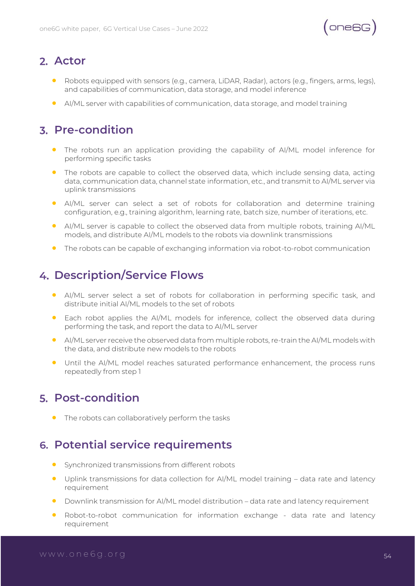

#### **Actor**

- Robots equipped with sensors (e.g., camera, LiDAR, Radar), actors (e.g., fingers, arms, legs), and capabilities of communication, data storage, and model inference
- AI/ML server with capabilities of communication, data storage, and model training

#### **Pre-condition**

- The robots run an application providing the capability of AI/ML model inference for performing specific tasks
- The robots are capable to collect the observed data, which include sensing data, acting data, communication data, channel state information, etc., and transmit to AI/ML server via uplink transmissions
- AI/ML server can select a set of robots for collaboration and determine training configuration, e.g., training algorithm, learning rate, batch size, number of iterations, etc.
- AI/ML server is capable to collect the observed data from multiple robots, training AI/ML models, and distribute AI/ML models to the robots via downlink transmissions
- The robots can be capable of exchanging information via robot-to-robot communication

#### **Description/Service Flows**

- AI/ML server select a set of robots for collaboration in performing specific task, and distribute initial AI/ML models to the set of robots
- Each robot applies the AI/ML models for inference, collect the observed data during performing the task, and report the data to AI/ML server
- AI/ML server receive the observed data from multiple robots, re-train the AI/ML models with the data, and distribute new models to the robots
- Until the AI/ML model reaches saturated performance enhancement, the process runs repeatedly from step 1

#### **Post-condition**

• The robots can collaboratively perform the tasks

#### **Potential service requirements**

- Synchronized transmissions from different robots
- Uplink transmissions for data collection for AI/ML model training data rate and latency requirement
- Downlink transmission for AI/ML model distribution data rate and latency requirement
- Robot-to-robot communication for information exchange data rate and latency requirement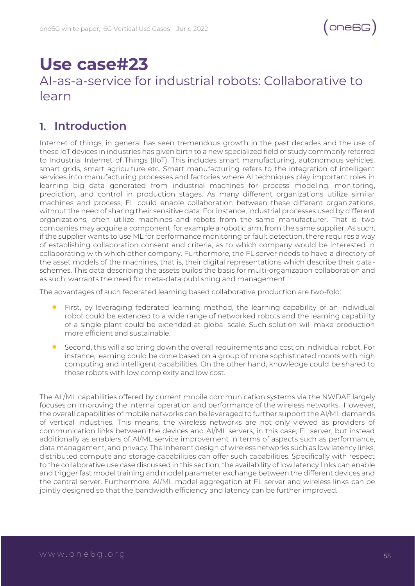## **Use case#23**

### AI-as-a-service for industrial robots: Collaborative to learn

#### **Introduction**

Internet of things, in general has seen tremendous growth in the past decades and the use of these IoT devices in industries has given birth to a new specialized field of study commonly referred to Industrial Internet of Things (IIoT). This includes smart manufacturing, autonomous vehicles, smart grids, smart agriculture etc. Smart manufacturing refers to the integration of intelligent services into manufacturing processes and factories where AI techniques play important roles in learning big data generated from industrial machines for process modeling, monitoring, prediction, and control in production stages. As many different organizations utilize similar machines and process, FL could enable collaboration between these different organizations, without the need of sharing their sensitive data. For instance, industrial processes used by different organizations, often utilize machines and robots from the same manufacturer. That is, two companies may acquire a component, for example a robotic arm, from the same supplier. As such, if the supplier wants to use ML for performance monitoring or fault detection, there requires a way of establishing collaboration consent and criteria, as to which company would be interested in collaborating with which other company. Furthermore, the FL server needs to have a directory of the asset models of the machines, that is, their digital representations which describe their dataschemes. This data describing the assets builds the basis for multi-organization collaboration and as such, warrants the need for meta-data publishing and management.

The advantages of such federated learning based collaborative production are two-fold:

- First, by leveraging federated learning method, the learning capability of an individual robot could be extended to a wide range of networked robots and the learning capability of a single plant could be extended at global scale. Such solution will make production more efficient and sustainable.
- Second, this will also bring down the overall requirements and cost on individual robot. For instance, learning could be done based on a group of more sophisticated robots with high computing and intelligent capabilities. On the other hand, knowledge could be shared to those robots with low complexity and low cost.

The AL/ML capabilities offered by current mobile communication systems via the NWDAF largely focuses on improving the internal operation and performance of the wireless networks. However, the overall capabilities of mobile networks can be leveraged to further support the AI/ML demands of vertical industries. This means, the wireless networks are not only viewed as providers of communication links between the devices and AI/ML servers, in this case, FL server, but instead additionally as enablers of AI/ML service improvement in terms of aspects such as performance, data management, and privacy. The inherent design of wireless networks such as low latency links, distributed compute and storage capabilities can offer such capabilities. Specifically with respect to the collaborative use case discussed in this section, the availability of low latency links can enable and trigger fast model training and model parameter exchange between the different devices and the central server. Furthermore, AI/ML model aggregation at FL server and wireless links can be jointly designed so that the bandwidth efficiency and latency can be further improved.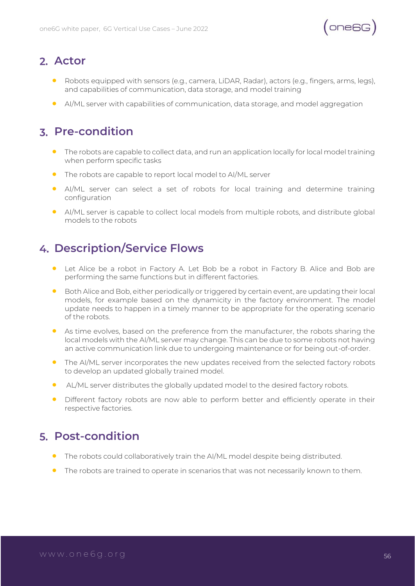

#### **Actor**

- Robots equipped with sensors (e.g., camera, LiDAR, Radar), actors (e.g., fingers, arms, legs), and capabilities of communication, data storage, and model training
- AI/ML server with capabilities of communication, data storage, and model aggregation

#### **Pre-condition**

- The robots are capable to collect data, and run an application locally for local model training when perform specific tasks
- The robots are capable to report local model to AI/ML server
- AI/ML server can select a set of robots for local training and determine training configuration
- AI/ML server is capable to collect local models from multiple robots, and distribute global models to the robots

#### **Description/Service Flows**

- Let Alice be a robot in Factory A. Let Bob be a robot in Factory B. Alice and Bob are performing the same functions but in different factories.
- Both Alice and Bob, either periodically or triggered by certain event, are updating their local models, for example based on the dynamicity in the factory environment. The model update needs to happen in a timely manner to be appropriate for the operating scenario of the robots.
- As time evolves, based on the preference from the manufacturer, the robots sharing the local models with the AI/ML server may change. This can be due to some robots not having an active communication link due to undergoing maintenance or for being out-of-order.
- The AI/ML server incorporates the new updates received from the selected factory robots to develop an updated globally trained model.
- AL/ML server distributes the globally updated model to the desired factory robots.
- Different factory robots are now able to perform better and efficiently operate in their respective factories.

#### **Post-condition**

- The robots could collaboratively train the AI/ML model despite being distributed.
- The robots are trained to operate in scenarios that was not necessarily known to them.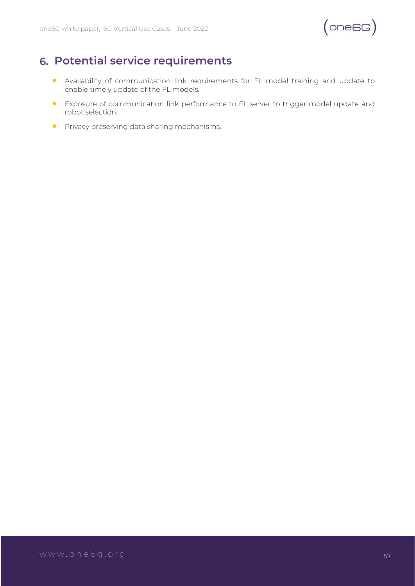

#### **Potential service requirements**

- Availability of communication link requirements for FL model training and update to enable timely update of the FL models.
- Exposure of communication link performance to FL server to trigger model update and robot selection.
- **•** Privacy preserving data sharing mechanisms.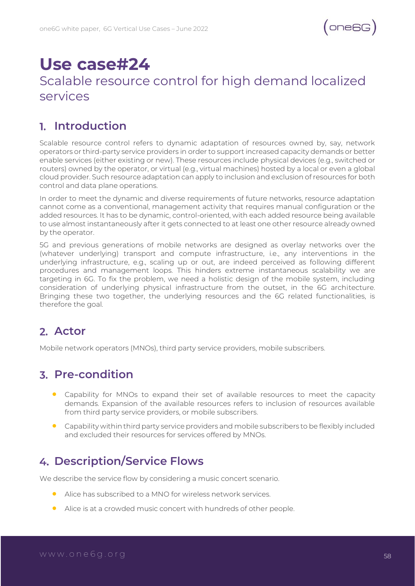## **Use case#24**

#### Scalable resource control for high demand localized services

#### **Introduction**

Scalable resource control refers to dynamic adaptation of resources owned by, say, network operators or third-party service providers in order to support increased capacity demands or better enable services (either existing or new). These resources include physical devices (e.g., switched or routers) owned by the operator, or virtual (e.g., virtual machines) hosted by a local or even a global cloud provider. Such resource adaptation can apply to inclusion and exclusion of resources for both control and data plane operations.

In order to meet the dynamic and diverse requirements of future networks, resource adaptation cannot come as a conventional, management activity that requires manual configuration or the added resources. It has to be dynamic, control-oriented, with each added resource being available to use almost instantaneously after it gets connected to at least one other resource already owned by the operator.

5G and previous generations of mobile networks are designed as overlay networks over the (whatever underlying) transport and compute infrastructure, i.e., any interventions in the underlying infrastructure, e.g., scaling up or out, are indeed perceived as following different procedures and management loops. This hinders extreme instantaneous scalability we are targeting in 6G. To fix the problem, we need a holistic design of the mobile system, including consideration of underlying physical infrastructure from the outset, in the 6G architecture. Bringing these two together, the underlying resources and the 6G related functionalities, is therefore the goal.

#### **Actor**

Mobile network operators (MNOs), third party service providers, mobile subscribers.

#### **Pre-condition**

- Capability for MNOs to expand their set of available resources to meet the capacity demands. Expansion of the available resources refers to inclusion of resources available from third party service providers, or mobile subscribers.
- Capability within third party service providers and mobile subscribers to be flexibly included and excluded their resources for services offered by MNOs.

#### **Description/Service Flows**

We describe the service flow by considering a music concert scenario.

- Alice has subscribed to a MNO for wireless network services.
- Alice is at a crowded music concert with hundreds of other people.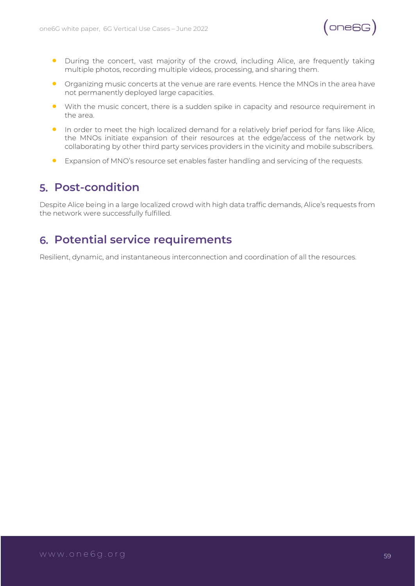

- During the concert, vast majority of the crowd, including Alice, are frequently taking multiple photos, recording multiple videos, processing, and sharing them.
- Organizing music concerts at the venue are rare events. Hence the MNOs in the area have not permanently deployed large capacities.
- With the music concert, there is a sudden spike in capacity and resource requirement in the area.
- In order to meet the high localized demand for a relatively brief period for fans like Alice, the MNOs initiate expansion of their resources at the edge/access of the network by collaborating by other third party services providers in the vicinity and mobile subscribers.
- Expansion of MNO's resource set enables faster handling and servicing of the requests.

#### **Post-condition**

Despite Alice being in a large localized crowd with high data traffic demands, Alice's requests from the network were successfully fulfilled.

#### **Potential service requirements**

Resilient, dynamic, and instantaneous interconnection and coordination of all the resources.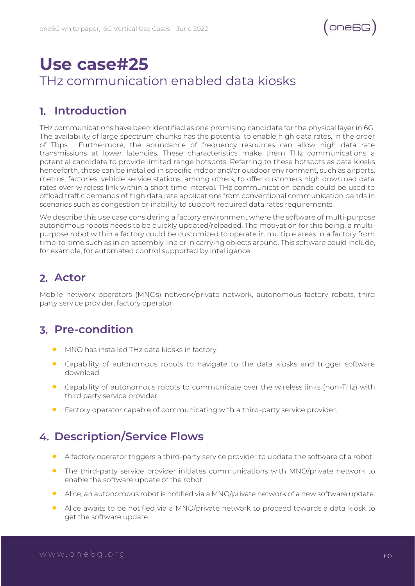## **Use case#25** THz communication enabled data kiosks

#### **Introduction**

THz communications have been identified as one promising candidate for the physical layer in 6G. The availability of large spectrum chunks has the potential to enable high data rates, in the order of Tbps. Furthermore, the abundance of frequency resources can allow high data rate transmissions at lower latencies. These characteristics make them THz communications a potential candidate to provide limited range hotspots. Referring to these hotspots as data kiosks henceforth, these can be installed in specific indoor and/or outdoor environment, such as airports, metros, factories, vehicle service stations, among others, to offer customers high download data rates over wireless link within a short time interval. THz communication bands could be used to offload traffic demands of high data rate applications from conventional communication bands in scenarios such as congestion or inability to support required data rates requirements.

We describe this use case considering a factory environment where the software of multi-purpose autonomous robots needs to be quickly updated/reloaded. The motivation for this being, a multipurpose robot within a factory could be customized to operate in multiple areas in a factory from time-to-time such as in an assembly line or in carrying objects around. This software could include, for example, for automated control supported by intelligence.

#### **Actor**

Mobile network operators (MNOs) network/private network, autonomous factory robots, third party service provider, factory operator.

#### **Pre-condition**

- MNO has installed THz data kiosks in factory.
- Capability of autonomous robots to navigate to the data kiosks and trigger software download.
- Capability of autonomous robots to communicate over the wireless links (non-THz) with third party service provider.
- Factory operator capable of communicating with a third-party service provider.

#### **Description/Service Flows**

- A factory operator triggers a third-party service provider to update the software of a robot.
- The third-party service provider initiates communications with MNO/private network to enable the software update of the robot.
- Alice, an autonomous robot is notified via a MNO/private network of a new software update.
- Alice awaits to be notified via a MNO/private network to proceed towards a data kiosk to get the software update.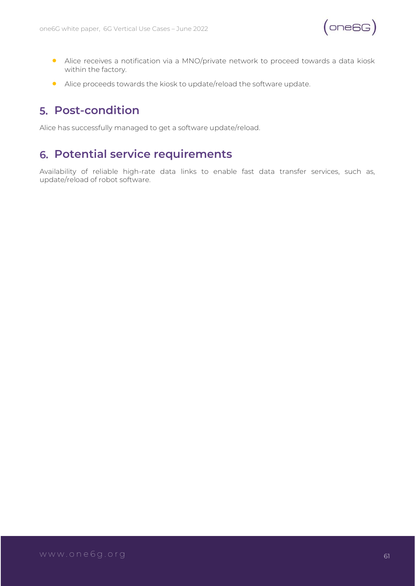

- Alice receives a notification via a MNO/private network to proceed towards a data kiosk within the factory.
- Alice proceeds towards the kiosk to update/reload the software update.

#### **Post-condition**

Alice has successfully managed to get a software update/reload.

#### **Potential service requirements**

Availability of reliable high-rate data links to enable fast data transfer services, such as, update/reload of robot software.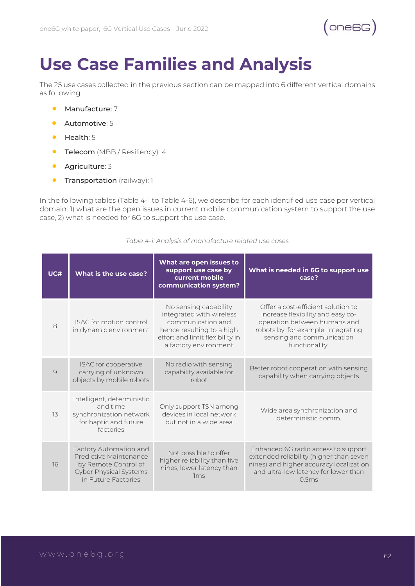# **Use Case Families and Analysis**

The 25 use cases collected in the previous section can be mapped into 6 different vertical domains as following:

- Manufacture: 7
- Automotive: 5
- Health: 5
- Telecom (MBB / Resiliency): 4
- Agriculture: 3
- **Transportation** (railway): 1

In the following tables (Table 4-1 to Table 4-6), we describe for each identified use case per vertical domain: 1) what are the open issues in current mobile communication system to support the use case, 2) what is needed for 6G to support the use case.

| UC#      | What is the use case?                                                                                                            | What are open issues to<br>support use case by<br>current mobile<br>communication system?                                                                       | What is needed in 6G to support use<br>case?                                                                                                                                                  |
|----------|----------------------------------------------------------------------------------------------------------------------------------|-----------------------------------------------------------------------------------------------------------------------------------------------------------------|-----------------------------------------------------------------------------------------------------------------------------------------------------------------------------------------------|
| 8        | ISAC for motion control<br>in dynamic environment                                                                                | No sensing capability<br>integrated with wireless<br>communication and<br>hence resulting to a high<br>effort and limit flexibility in<br>a factory environment | Offer a cost-efficient solution to<br>increase flexibility and easy co-<br>operation between humans and<br>robots by, for example, integrating<br>sensing and communication<br>functionality. |
| $\Theta$ | ISAC for cooperative<br>carrying of unknown<br>objects by mobile robots                                                          | No radio with sensing<br>capability available for<br>robot                                                                                                      | Better robot cooperation with sensing<br>capability when carrying objects                                                                                                                     |
| 13       | Intelligent, deterministic<br>and time<br>synchronization network<br>for haptic and future<br>factories                          | Only support TSN among<br>devices in local network<br>but not in a wide area                                                                                    | Wide area synchronization and<br>deterministic comm                                                                                                                                           |
| 16       | Factory Automation and<br>Predictive Maintenance<br>by Remote Control of<br><b>Cyber Physical Systems</b><br>in Future Factories | Not possible to offer<br>higher reliability than five<br>nines, lower latency than<br>1 <sub>ms</sub>                                                           | Enhanced 6G radio access to support<br>extended reliability (higher than seven<br>nines) and higher accuracy localization<br>and ultra-low latency for lower than<br>0.5ms                    |

*Table 4-1: Analysis of manufacture related use cases*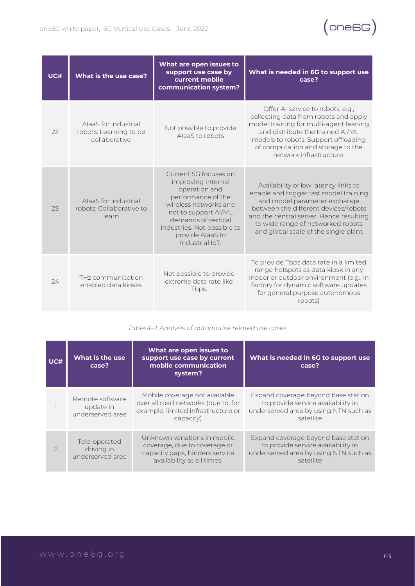

| UC# | What is the use case?                                           | What are open issues to<br>support use case by<br>current mobile<br>communication system?                                                                                                                                        | What is needed in 6G to support use<br>case?                                                                                                                                                                                                                                   |
|-----|-----------------------------------------------------------------|----------------------------------------------------------------------------------------------------------------------------------------------------------------------------------------------------------------------------------|--------------------------------------------------------------------------------------------------------------------------------------------------------------------------------------------------------------------------------------------------------------------------------|
| 22  | AlaaS for industrial<br>robots: Learning to be<br>collaborative | Not possible to provide<br>AlaaS to robots                                                                                                                                                                                       | Offer AI service to robots, e.g.,<br>collecting data from robots and apply<br>model training for multi-agent leaning<br>and distribute the trained AI/ML<br>models to robots. Support offloading<br>of computation and storage to the<br>network infrastructure.               |
| 23  | AlaaS for industrial<br>robots: Collaborative to<br>learn       | Current 5G focuses on<br>improving internal<br>operation and<br>performance of the<br>wireless networks and<br>not to support AI/ML<br>demands of vertical<br>industries. Not possible to<br>provide AlaaS to<br>Industrial IoT. | Availability of low latency links to<br>enable and trigger fast model training<br>and model parameter exchange<br>between the different devices/robots<br>and the central server. Hence resulting<br>to wide range of networked robots<br>and global scale of the single plant |
| 74  | THz communication<br>enabled data kiosks                        | Not possible to provide<br>extreme data rate like<br>Tbps.                                                                                                                                                                       | To provide Tbps data rate in a limited<br>range hotspots as data kiosk in any<br>indoor or outdoor environment (e.g., in<br>factory for dynamic software updates<br>for general purpose autonomous<br>robots)                                                                  |

*Table 4-2: Analysis of automotive related use cases*

| UC#           | What is the use<br>case?                         | What are open issues to<br>support use case by current<br>mobile communication<br>system?                                    | What is needed in 6G to support use<br>case?                                                                                    |
|---------------|--------------------------------------------------|------------------------------------------------------------------------------------------------------------------------------|---------------------------------------------------------------------------------------------------------------------------------|
|               | Remote software<br>update in<br>underserved area | Mobile coverage not available<br>over all road networks (due to, for<br>example, limited infrastructure or<br>capacity)      | Expand coverage beyond base station<br>to provide service availability in<br>underserved area by using NTN such as<br>satellite |
| $\mathcal{P}$ | Tele-operated<br>driving in<br>underserved area  | Unknown variations in mobile<br>coverage, due to coverage or<br>capacity gaps, hinders service<br>availability at all times. | Expand coverage beyond base station<br>to provide service availability in<br>underserved area by using NTN such as<br>satellite |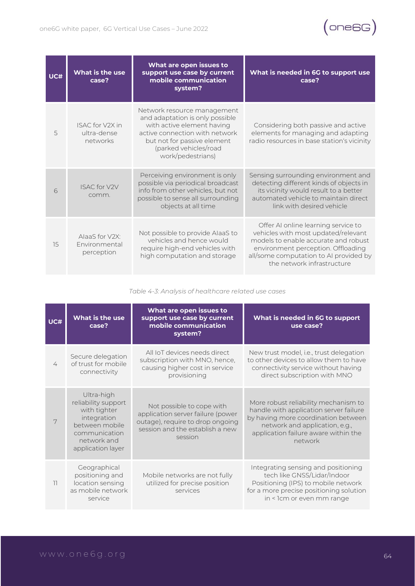

| UC# | What is the use<br>case?                          | What are open issues to<br>support use case by current<br>mobile communication<br>system?                                                                                                                   | What is needed in 6G to support use<br>case?                                                                                                                                                                                     |
|-----|---------------------------------------------------|-------------------------------------------------------------------------------------------------------------------------------------------------------------------------------------------------------------|----------------------------------------------------------------------------------------------------------------------------------------------------------------------------------------------------------------------------------|
| 5   | <b>ISAC for V2X in</b><br>ultra-dense<br>networks | Network resource management<br>and adaptation is only possible<br>with active element having<br>active connection with network<br>but not for passive element<br>(parked vehicles/road<br>work/pedestrians) | Considering both passive and active<br>elements for managing and adapting<br>radio resources in base station's vicinity                                                                                                          |
| 6   | <b>ISAC for V2V</b><br>comm.                      | Perceiving environment is only<br>possible via periodical broadcast<br>info from other vehicles, but not<br>possible to sense all surrounding<br>objects at all time                                        | Sensing surrounding environment and<br>detecting different kinds of objects in<br>its vicinity would result to a better<br>automated vehicle to maintain direct<br>link with desired vehicle                                     |
| 15  | AlaaS for V2X:<br>Environmental<br>perception     | Not possible to provide AlaaS to<br>vehicles and hence would<br>require high-end vehicles with<br>high computation and storage                                                                              | Offer AI online learning service to<br>vehicles with most updated/relevant<br>models to enable accurate and robust<br>environment perception. Offloading<br>all/some computation to AI provided by<br>the network infrastructure |

*Table 4-3: Analysis of healthcare related use cases*

| UC# | What is the use<br>case?                                                                                                                | What are open issues to<br>support use case by current<br>mobile communication<br>system?                                                        | What is needed in 6G to support<br>use case?                                                                                                                                                               |
|-----|-----------------------------------------------------------------------------------------------------------------------------------------|--------------------------------------------------------------------------------------------------------------------------------------------------|------------------------------------------------------------------------------------------------------------------------------------------------------------------------------------------------------------|
| 4   | Secure delegation<br>of trust for mobile<br>connectivity                                                                                | All IoT devices needs direct<br>subscription with MNO, hence,<br>causing higher cost in service<br>provisioning                                  | New trust model, i.e., trust delegation<br>to other devices to allow them to have<br>connectivity service without having<br>direct subscription with MNO                                                   |
| 7   | Ultra-high<br>reliability support<br>with tighter<br>integration<br>between mobile<br>communication<br>network and<br>application layer | Not possible to cope with<br>application server failure (power<br>outage), require to drop ongoing<br>session and the establish a new<br>session | More robust reliability mechanism to<br>handle with application server failure<br>by having more coordination between<br>network and application, e.g.,<br>application failure aware within the<br>network |
| 11  | Geographical<br>positioning and<br>location sensing<br>as mobile network<br>service                                                     | Mobile networks are not fully<br>utilized for precise position<br>services                                                                       | Integrating sensing and positioning<br>tech like GNSS/Lidar/Indoor<br>Positioning (IPS) to mobile network<br>for a more precise positioning solution<br>in < 1cm or even mm range                          |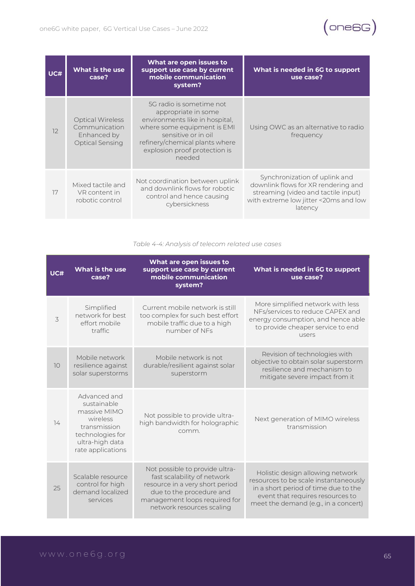

| UC# | What is the use<br>case?                                                          | What are open issues to<br>support use case by current<br>mobile communication<br>system?                                                                                                                            | What is needed in 6G to support<br>use case?                                                                                                                    |
|-----|-----------------------------------------------------------------------------------|----------------------------------------------------------------------------------------------------------------------------------------------------------------------------------------------------------------------|-----------------------------------------------------------------------------------------------------------------------------------------------------------------|
| 12  | <b>Optical Wireless</b><br>Communication<br>Enhanced by<br><b>Optical Sensing</b> | 5G radio is sometime not<br>appropriate in some<br>environments like in hospital.<br>where some equipment is EMI<br>sensitive or in oil<br>refinery/chemical plants where<br>explosion proof protection is<br>needed | Using OWC as an alternative to radio<br>frequency                                                                                                               |
| 17  | Mixed tactile and<br>VR content in<br>robotic control                             | Not coordination between uplink<br>and downlink flows for robotic<br>control and hence causing<br>cybersickness                                                                                                      | Synchronization of uplink and<br>downlink flows for XR rendering and<br>streaming (video and tactile input)<br>with extreme low jitter <20ms and low<br>latency |

#### *Table 4-4: Analysis of telecom related use cases*

| UC# | What is the use<br>case?                                                                                                            | What are open issues to<br>support use case by current<br>mobile communication<br>system?                                                                                                  | What is needed in 6G to support<br>use case?                                                                                                                                                  |
|-----|-------------------------------------------------------------------------------------------------------------------------------------|--------------------------------------------------------------------------------------------------------------------------------------------------------------------------------------------|-----------------------------------------------------------------------------------------------------------------------------------------------------------------------------------------------|
| 3   | Simplified<br>network for best<br>effort mobile<br>traffic                                                                          | Current mobile network is still<br>too complex for such best effort<br>mobile traffic due to a high<br>number of NEs                                                                       | More simplified network with less<br>NFs/services to reduce CAPEX and<br>energy consumption, and hence able<br>to provide cheaper service to end<br>users                                     |
| 10  | Mobile network<br>resilience against<br>solar superstorms                                                                           | Mobile network is not<br>durable/resilient against solar<br>superstorm                                                                                                                     | Revision of technologies with<br>objective to obtain solar superstorm<br>resilience and mechanism to<br>mitigate severe impact from it                                                        |
| 14  | Advanced and<br>sustainable<br>massive MIMO<br>wireless<br>transmission<br>technologies for<br>ultra-high data<br>rate applications | Not possible to provide ultra-<br>high bandwidth for holographic<br>comm.                                                                                                                  | Next generation of MIMO wireless<br>transmission                                                                                                                                              |
| 25  | Scalable resource<br>control for high<br>demand localized<br>services                                                               | Not possible to provide ultra-<br>fast scalability of network<br>resource in a very short period<br>due to the procedure and<br>management loops required for<br>network resources scaling | Holistic design allowing network<br>resources to be scale instantaneously<br>in a short period of time due to the<br>event that requires resources to<br>meet the demand (e.g., in a concert) |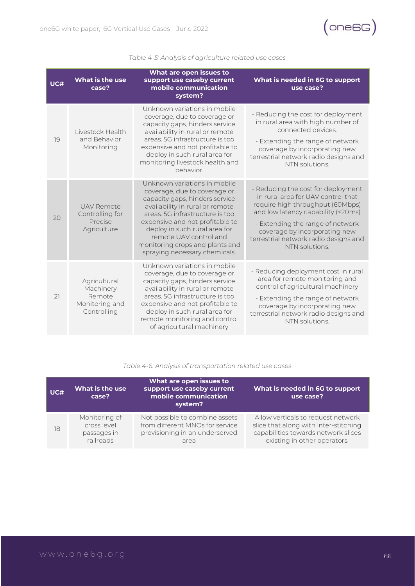

| UC# | What is the use<br>case?                                             | What are open issues to<br>support use caseby current<br>mobile communication<br>system?                                                                                                                                                                                                                                               | What is needed in 6G to support<br>use case?                                                                                                                                                                                                                                      |
|-----|----------------------------------------------------------------------|----------------------------------------------------------------------------------------------------------------------------------------------------------------------------------------------------------------------------------------------------------------------------------------------------------------------------------------|-----------------------------------------------------------------------------------------------------------------------------------------------------------------------------------------------------------------------------------------------------------------------------------|
| 19  | Livestock Health<br>and Behavior<br>Monitoring                       | Unknown variations in mobile<br>coverage, due to coverage or<br>capacity gaps, hinders service<br>availability in rural or remote<br>areas. 5G infrastructure is too<br>expensive and not profitable to<br>deploy in such rural area for<br>monitoring livestock health and<br>behavior.                                               | - Reducing the cost for deployment<br>in rural area with high number of<br>connected devices.<br>- Extending the range of network<br>coverage by incorporating new<br>terrestrial network radio designs and<br>NTN solutions.                                                     |
| 20  | <b>UAV Remote</b><br>Controlling for<br>Precise<br>Agriculture       | Unknown variations in mobile<br>coverage, due to coverage or<br>capacity gaps, hinders service<br>availability in rural or remote<br>areas. 5G infrastructure is too<br>expensive and not profitable to<br>deploy in such rural area for<br>remote UAV control and<br>monitoring crops and plants and<br>spraying necessary chemicals. | - Reducing the cost for deployment<br>in rural area for UAV control that<br>require high throughput (60Mbps)<br>and low latency capability (<20ms)<br>- Extending the range of network<br>coverage by incorporating new<br>terrestrial network radio designs and<br>NTN solutions |
| 21  | Agricultural<br>Machinery<br>Remote<br>Monitoring and<br>Controlling | Unknown variations in mobile<br>coverage, due to coverage or<br>capacity gaps, hinders service<br>availability in rural or remote<br>areas. 5G infrastructure is too<br>expensive and not profitable to<br>deploy in such rural area for<br>remote monitoring and control<br>of agricultural machinery                                 | - Reducing deployment cost in rural<br>area for remote monitoring and<br>control of agricultural machinery<br>- Extending the range of network<br>coverage by incorporating new<br>terrestrial network radio designs and<br>NTN solutions.                                        |

#### *Table 4-5: Analysis of agriculture related use cases*

#### *Table 4-6: Analysis of transportation related use cases*

| UC# | What are open issues to<br>support use caseby current<br>What is the use<br>mobile communication<br>case?<br>system? |                                 | What is needed in 6G to support<br>use case? |  |
|-----|----------------------------------------------------------------------------------------------------------------------|---------------------------------|----------------------------------------------|--|
| 18  | Monitoring of                                                                                                        | Not possible to combine assets  | Allow verticals to request network           |  |
|     | cross level                                                                                                          | from different MNOs for service | slice that along with inter-stitching        |  |
|     | passages in                                                                                                          | provisioning in an underserved  | capabilities towards network slices          |  |
|     | railroads                                                                                                            | area                            | existing in other operators.                 |  |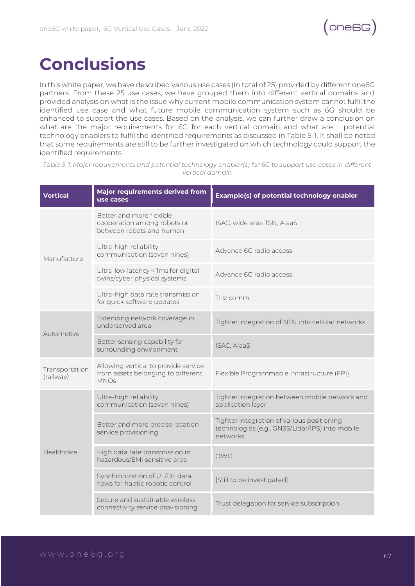

# **Conclusions**

In this white paper, we have described various use cases (in total of 25) provided by different one6G partners. From these 25 use cases, we have grouped them into different vertical domains and provided analysis on what is the issue why current mobile communication system cannot fulfil the identified use case and what future mobile communication system such as 6G should be enhanced to support the use cases. Based on the analysis, we can further draw a conclusion on what are the major requirements for 6G for each vertical domain and what are potential technology enablers to fulfil the identified requirements as discussed in Table 5-1. It shall be noted that some requirements are still to be further investigated on which technology could support the identified requirements.

| <b>Vertical</b>             | Major requirements derived from<br>use cases                                              | Example(s) of potential technology enabler                                                                |
|-----------------------------|-------------------------------------------------------------------------------------------|-----------------------------------------------------------------------------------------------------------|
|                             | Better and more flexible<br>cooperation among robots or<br>between robots and human       | ISAC, wide area TSN, AlaaS                                                                                |
| Manufacture                 | Ultra-high reliability<br>communication (seven nines)                                     | Advance 6G radio access                                                                                   |
|                             | Ultra-low latency < 1ms for digital<br>twins/cyber physical systems                       | Advance 6G radio access                                                                                   |
|                             | Ultra-high data rate transmission<br>for quick software updates                           | THz comm.                                                                                                 |
|                             | Extending network coverage in<br>underserved area                                         | Tighter integration of NTN into cellular networks                                                         |
| Automotive                  | Better sensing capability for<br>surrounding environment                                  | ISAC, AlaaS                                                                                               |
| Transportation<br>(railway) | Allowing vertical to provide service<br>from assets belonging to different<br><b>MNOs</b> | Flexible Programmable Infrastructure (FPI)                                                                |
|                             | Ultra-high reliability<br>communication (seven nines)                                     | Tighter integration between mobile network and<br>application layer                                       |
|                             | Better and more precise location<br>service provisioning                                  | Tighter integration of various positioning<br>technologies (e.g., GNSS/Lidar/IPS) into mobile<br>networks |
| Healthcare                  | High data rate transmission in<br>hazardous/EMI sensitive area                            | <b>OWC</b>                                                                                                |
|                             | Synchronization of UL/DL data<br>flows for haptic robotic control                         | [Still to be investigated]                                                                                |
|                             | Secure and sustainable wireless<br>connectivity service provisioning                      | Trust delegation for service subscription                                                                 |

*Table 5-1: Major requirements and potential technology enabler(s) for 6G to support use cases in different vertical domain*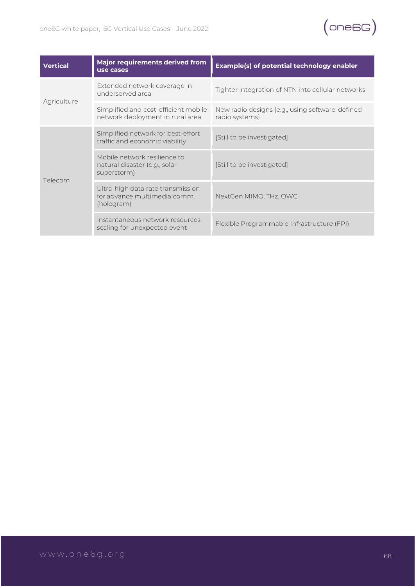

| Vertical    | Major requirements derived from<br>use cases                                    | <b>Example(s) of potential technology enabler</b>                 |
|-------------|---------------------------------------------------------------------------------|-------------------------------------------------------------------|
|             | Extended network coverage in<br>underserved area                                | Tighter integration of NTN into cellular networks                 |
| Agriculture | Simplified and cost-efficient mobile<br>network deployment in rural area        | New radio designs (e.g., using software-defined<br>radio systems) |
|             | Simplified network for best-effort<br>traffic and economic viability            | [Still to be investigated]                                        |
| Telecom     | Mobile network resilience to<br>natural disaster (e.g., solar<br>superstorm)    | [Still to be investigated]                                        |
|             | Ultra-high data rate transmission<br>for advance multimedia comm.<br>(hologram) | NextGen MIMO, THz, OWC                                            |
|             | Instantaneous network resources<br>scaling for unexpected event                 | Flexible Programmable Infrastructure (FPI)                        |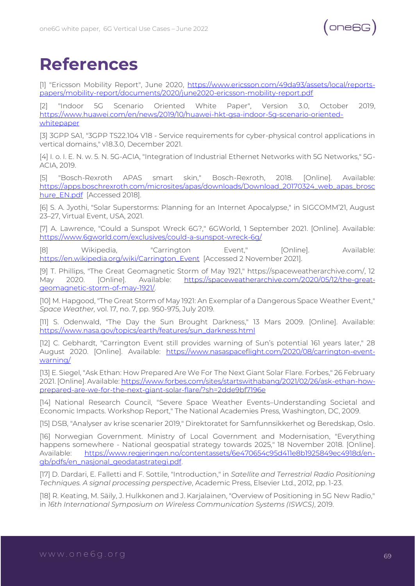# **References**

[1] "Ericsson Mobility Report", June 2020, [https://www.ericsson.com/49da93/assets/local/reports](https://www.ericsson.com/49da93/assets/local/reports-papers/mobility-report/documents/2020/june2020-ericsson-mobility-report.pdf)[papers/mobility-report/documents/2020/june2020-ericsson-mobility-report.pdf](https://www.ericsson.com/49da93/assets/local/reports-papers/mobility-report/documents/2020/june2020-ericsson-mobility-report.pdf)

[2] "Indoor 5G Scenario Oriented White Paper", Version 3.0, October 2019, [https://www.huawei.com/en/news/2019/10/huawei-hkt-gsa-indoor-5g-scenario-oriented](https://www.huawei.com/en/news/2019/10/huawei-hkt-gsa-indoor-5g-scenario-oriented-whitepaper)[whitepaper](https://www.huawei.com/en/news/2019/10/huawei-hkt-gsa-indoor-5g-scenario-oriented-whitepaper)

[3] 3GPP SA1, "3GPP TS22.104 V18 - Service requirements for cyber-physical control applications in vertical domains," v18.3.0, December 2021.

[4] I. o. I. E. N. w. 5. N. 5G-ACIA, "Integration of Industrial Ethernet Networks with 5G Networks," 5G-ACIA, 2019.

[5] "Bosch-Rexroth APAS smart skin," Bosch-Rexroth, 2018. [Online]. Available: [https://apps.boschrexroth.com/microsites/apas/downloads/Download\\_20170324\\_web\\_apas\\_brosc](https://apps.boschrexroth.com/microsites/apas/downloads/Download_20170324_web_apas_broschure_EN.pdf) [hure\\_EN.pdf](https://apps.boschrexroth.com/microsites/apas/downloads/Download_20170324_web_apas_broschure_EN.pdf) [Accessed 2018].

[6] S. A. Jyothi, "Solar Superstorms: Planning for an Internet Apocalypse," in SIGCOMM'21, August 23–27, Virtual Event, USA, 2021.

[7] A. Lawrence, "Could a Sunspot Wreck 6G?," 6GWorld, 1 September 2021. [Online]. Available: <https://www.6gworld.com/exclusives/could-a-sunspot-wreck-6g/>

[8] Wikipedia, "Carrington Event," [Online]. Available: [https://en.wikipedia.org/wiki/Carrington\\_Event](https://en.wikipedia.org/wiki/Carrington_Event) [Accessed 2 November 2021].

[9] T. Phillips, "The Great Geomagnetic Storm of May 1921," https://spaceweatherarchive.com/, 12 May 2020. [Online]. Available: [https://spaceweatherarchive.com/2020/05/12/the-great](https://spaceweatherarchive.com/2020/05/12/the-great-geomagnetic-storm-of-may-1921/)[geomagnetic-storm-of-may-1921/.](https://spaceweatherarchive.com/2020/05/12/the-great-geomagnetic-storm-of-may-1921/)

[10] M. Hapgood, "The Great Storm of May 1921: An Exemplar of a Dangerous Space Weather Event," *Space Weather,* vol. 17, no. 7, pp. 950-975, July 2019.

[11] S. Odenwald, "The Day the Sun Brought Darkness," 13 Mars 2009. [Online]. Available: [https://www.nasa.gov/topics/earth/features/sun\\_darkness.html](https://www.nasa.gov/topics/earth/features/sun_darkness.html)

[12] C. Gebhardt, "Carrington Event still provides warning of Sun's potential 161 years later," 28 August 2020. [Online]. Available: [https://www.nasaspaceflight.com/2020/08/carrington-event](https://www.nasaspaceflight.com/2020/08/carrington-event-warning/)[warning/](https://www.nasaspaceflight.com/2020/08/carrington-event-warning/)

[13] E. Siegel, "Ask Ethan: How Prepared Are We For The Next Giant Solar Flare. Forbes," 26 February 2021. [Online]. Available: [https://www.forbes.com/sites/startswithabang/2021/02/26/ask-ethan-how](https://www.forbes.com/sites/startswithabang/2021/02/26/ask-ethan-how-prepared-are-we-for-the-next-giant-solar-flare/?sh=2dde9bf7196e)[prepared-are-we-for-the-next-giant-solar-flare/?sh=2dde9bf7196e](https://www.forbes.com/sites/startswithabang/2021/02/26/ask-ethan-how-prepared-are-we-for-the-next-giant-solar-flare/?sh=2dde9bf7196e)

[14] National Research Council, "Severe Space Weather Events–Understanding Societal and Economic Impacts. Workshop Report," The National Academies Press, Washington, DC, 2009.

[15] DSB, "Analyser av krise scenarier 2019," Direktoratet for Samfunnsikkerhet og Beredskap, Oslo.

[16] Norwegian Government. Ministry of Local Government and Modernisation, "Everything happens somewhere - National geospatial strategy towards 2025," 18 November 2018. [Online]. Available: [https://www.regjeringen.no/contentassets/6e470654c95d411e8b1925849ec4918d/en](https://www.regjeringen.no/contentassets/6e470654c95d411e8b1925849ec4918d/en-gb/pdfs/en_nasjonal_geodatastrategi.pdf)[gb/pdfs/en\\_nasjonal\\_geodatastrategi.pdf.](https://www.regjeringen.no/contentassets/6e470654c95d411e8b1925849ec4918d/en-gb/pdfs/en_nasjonal_geodatastrategi.pdf)

[17] D. Dardari, E. Falletti and F. Sottile, "Introduction," in *Satellite and Terrestrial Radio Positioning Techniques. A signal processing perspective*, Academic Press, Elsevier Ltd., 2012, pp. 1-23.

[18] R. Keating, M. Säily, J. Hulkkonen and J. Karjalainen, "Overview of Positioning in 5G New Radio," in *16th International Symposium on Wireless Communication Systems (ISWCS)*, 2019.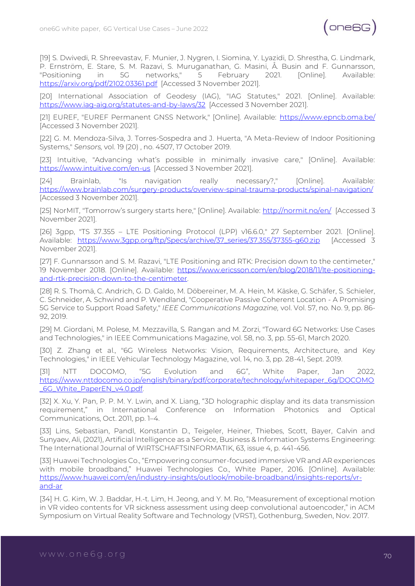

[19] S. Dwivedi, R. Shreevastav, F. Munier, J. Nygren, I. Siomina, Y. Lyazidi, D. Shrestha, G. Lindmark, P. Ernström, E. Stare, S. M. Razavi, S. Muruganathan, G. Masini, Å. Busin and F. Gunnarsson, "Positioning in 5G networks," 5 February 2021. [Online]. Available: <https://arxiv.org/pdf/2102.03361.pdf> [Accessed 3 November 2021].

[20] International Association of Geodesy (IAG), "IAG Statutes," 2021. [Online]. Available: <https://www.iag-aig.org/statutes-and-by-laws/32> [Accessed 3 November 2021].

[21] EUREF, "EUREF Permanent GNSS Network," [Online]. Available:<https://www.epncb.oma.be/> [Accessed 3 November 2021].

[22] G. M. Mendoza-Silva, J. Torres-Sospedra and J. Huerta, "A Meta-Review of Indoor Positioning Systems," *Sensors,* vol. 19 (20) , no. 4507, 17 October 2019.

[23] Intuitive, "Advancing what's possible in minimally invasive care," [Online]. Available: <https://www.intuitive.com/en-us> [Accessed 3 November 2021].

[24] Brainlab, "Is navigation really necessary?," [Online]. Available: <https://www.brainlab.com/surgery-products/overview-spinal-trauma-products/spinal-navigation/> [Accessed 3 November 2021].

[25] NorMIT, "Tomorrow's surgery starts here," [Online]. Available: <http://normit.no/en/> [Accessed 3 November 2021].

[26] 3gpp, "TS 37.355 – LTE Positioning Protocol (LPP) v16.6.0," 27 September 2021. [Online]. Available: [https://www.3gpp.org/ftp/Specs/archive/37\\_series/37.355/37355-g60.zip](https://www.3gpp.org/ftp/Specs/archive/37_series/37.355/37355-g60.zip) [Accessed 3 November 2021].

[27] F. Gunnarsson and S. M. Razavi, "LTE Positioning and RTK: Precision down to the centimeter," 19 November 2018. [Online]. Available: [https://www.ericsson.com/en/blog/2018/11/lte-positioning](https://www.ericsson.com/en/blog/2018/11/lte-positioning-and-rtk-precision-down-to-the-centimeter)[and-rtk-precision-down-to-the-centimeter.](https://www.ericsson.com/en/blog/2018/11/lte-positioning-and-rtk-precision-down-to-the-centimeter)

[28] R. S. Thomä, C. Andrich, G. D. Galdo, M. Döbereiner, M. A. Hein, M. Käske, G. Schäfer, S. Schieler, C. Schneider, A. Schwind and P. Wendland, "Cooperative Passive Coherent Location - A Promising 5G Service to Support Road Safety," *IEEE Communications Magazine,* vol. Vol. 57, no. No. 9, pp. 86- 92, 2019.

[29] M. Giordani, M. Polese, M. Mezzavilla, S. Rangan and M. Zorzi, "Toward 6G Networks: Use Cases and Technologies," in IEEE Communications Magazine, vol. 58, no. 3, pp. 55-61, March 2020.

[30] Z. Zhang et al., "6G Wireless Networks: Vision, Requirements, Architecture, and Key Technologies," in IEEE Vehicular Technology Magazine, vol. 14, no. 3, pp. 28-41, Sept. 2019.

[31] NTT DOCOMO, "5G Evolution and 6G", White Paper, Jan 2022, [https://www.nttdocomo.co.jp/english/binary/pdf/corporate/technology/whitepaper\\_6g/DOCOMO](https://www.nttdocomo.co.jp/english/binary/pdf/corporate/technology/whitepaper_6g/DOCOMO_6G_White_PaperEN_v4.0.pdf) [\\_6G\\_White\\_PaperEN\\_v4.0.pdf.](https://www.nttdocomo.co.jp/english/binary/pdf/corporate/technology/whitepaper_6g/DOCOMO_6G_White_PaperEN_v4.0.pdf)

[32] X. Xu, Y. Pan, P. P. M. Y. Lwin, and X. Liang, "3D holographic display and its data transmission requirement," in International Conference on Information Photonics and Optical Communications, Oct. 2011, pp. 1–4.

[33] Lins, Sebastian, Pandl, Konstantin D., Teigeler, Heiner, Thiebes, Scott, Bayer, Calvin and Sunyaev, Ali, (2021), Artificial Intelligence as a Service, Business & Information Systems Engineering: The International Journal of WIRTSCHAFTSINFORMATIK, 63, issue 4, p. 441-456.

[33] Huawei Technologies Co., "Empowering consumer-focused immersive VR and AR experiences with mobile broadband," Huawei Technologies Co., White Paper, 2016. [Online]. Available: [https://www.huawei.com/en/industry-insights/outlook/mobile-broadband/insights-reports/vr](https://www.huawei.com/en/industry-insights/outlook/mobile-broadband/insights-reports/vr-and-ar)[and-ar](https://www.huawei.com/en/industry-insights/outlook/mobile-broadband/insights-reports/vr-and-ar)

[34] H. G. Kim, W. J. Baddar, H.-t. Lim, H. Jeong, and Y. M. Ro, "Measurement of exceptional motion in VR video contents for VR sickness assessment using deep convolutional autoencoder," in ACM Symposium on Virtual Reality Software and Technology (VRST), Gothenburg, Sweden, Nov. 2017.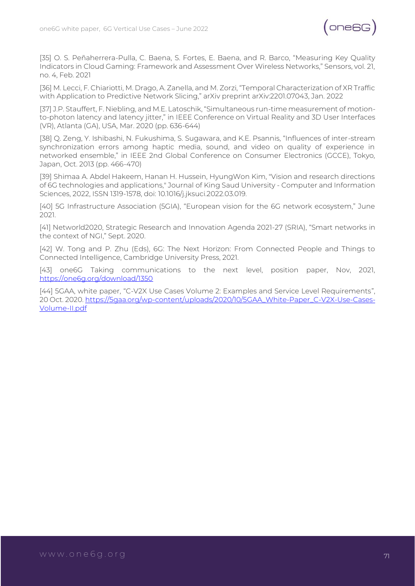

[35] O. S. Peñaherrera-Pulla, C. Baena, S. Fortes, E. Baena, and R. Barco, "Measuring Key Quality Indicators in Cloud Gaming: Framework and Assessment Over Wireless Networks," Sensors, vol. 21, no. 4, Feb. 2021

[36] M. Lecci, F. Chiariotti, M. Drago, A. Zanella, and M. Zorzi, "Temporal Characterization of XR Traffic with Application to Predictive Network Slicing," arXiv preprint arXiv:2201.07043, Jan. 2022

[37] J.P. Stauffert, F. Niebling, and M.E. Latoschik, "Simultaneous run-time measurement of motionto-photon latency and latency jitter," in IEEE Conference on Virtual Reality and 3D User Interfaces (VR), Atlanta (GA), USA, Mar. 2020 (pp. 636-644)

[38] Q. Zeng, Y. Ishibashi, N. Fukushima, S. Sugawara, and K.E. Psannis, "Influences of inter-stream synchronization errors among haptic media, sound, and video on quality of experience in networked ensemble," in IEEE 2nd Global Conference on Consumer Electronics (GCCE), Tokyo, Japan, Oct. 2013 (pp. 466-470)

[39] Shimaa A. Abdel Hakeem, Hanan H. Hussein, HyungWon Kim, "Vision and research directions of 6G technologies and applications," Journal of King Saud University - Computer and Information Sciences, 2022, ISSN 1319-1578, doi: 10.1016/j.jksuci.2022.03.019.

[40] 5G Infrastructure Association (5GIA), "European vision for the 6G network ecosystem," June 2021.

[41] Networld2020, Strategic Research and Innovation Agenda 2021-27 (SRIA), "Smart networks in the context of NGI," Sept. 2020.

[42] W. Tong and P. Zhu (Eds), 6G: The Next Horizon: From Connected People and Things to Connected Intelligence, Cambridge University Press, 2021.

[43] one6G Taking communications to the next level, position paper, Nov, 2021, <https://one6g.org/download/1350>

[44] 5GAA, white paper, "C-V2X Use Cases Volume 2: Examples and Service Level Requirements", 20 Oct. 2020. [https://5gaa.org/wp-content/uploads/2020/10/5GAA\\_White-Paper\\_C-V2X-Use-Cases-](https://5gaa.org/wp-content/uploads/2020/10/5GAA_White-Paper_C-V2X-Use-Cases-Volume-II.pdf)[Volume-II.pdf](https://5gaa.org/wp-content/uploads/2020/10/5GAA_White-Paper_C-V2X-Use-Cases-Volume-II.pdf)